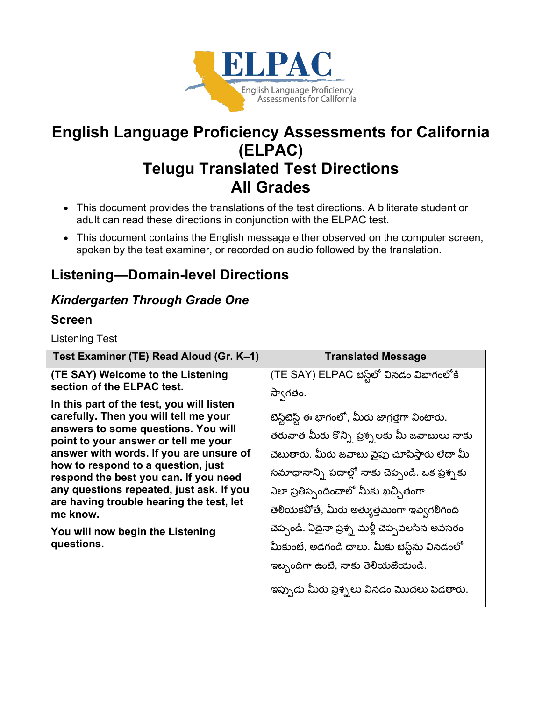

# **English Language Proficiency Assessments for California (ELPAC) Telugu Translated Test Directions All Grades**

- This document provides the translations of the test directions. A biliterate student or adult can read these directions in conjunction with the ELPAC test.
- This document contains the English message either observed on the computer screen, spoken by the test examiner, or recorded on audio followed by the translation.

# **Listening—Domain-level Directions**

### *Kindergarten Through Grade One*

### **Screen**

Listening Test

| Test Examiner (TE) Read Aloud (Gr. K–1)                                                                                                                                         | <b>Translated Message</b>                        |
|---------------------------------------------------------------------------------------------------------------------------------------------------------------------------------|--------------------------------------------------|
| (TE SAY) Welcome to the Listening                                                                                                                                               | (TE SAY) ELPAC టెస్ట్లలో వినడం విభాగంలోకి        |
| section of the ELPAC test.                                                                                                                                                      | స్వాగతం.                                         |
| In this part of the test, you will listen                                                                                                                                       |                                                  |
| carefully. Then you will tell me your<br>answers to some questions. You will                                                                                                    | టెస్ట్టటెస్ట్ ఈ భాగంలో, మీరు జాగ్రత్తగా వింటారు. |
| point to your answer or tell me your                                                                                                                                            | తరువాత మీరు కొన్ని ప్రశ్నలకు మీ జవాబులు నాకు     |
| answer with words. If you are unsure of                                                                                                                                         | చెబుతారు. మీరు జవాబు వైపు చూపిస్తారు లేదా మీ     |
| how to respond to a question, just<br>respond the best you can. If you need<br>any questions repeated, just ask. If you<br>are having trouble hearing the test, let<br>me know. | సమాధానాన్ని పదాల్లో నాకు చెప్పండి. ఒక ప్రశ్నకు   |
|                                                                                                                                                                                 | ఎలా ప్రతిస్పందించాలో మీకు ఖచ్చితంగా              |
|                                                                                                                                                                                 | తెలియకపోతే, మీరు అత్యుత్తమంగా ఇవ్వగలిగింది       |
| You will now begin the Listening                                                                                                                                                | చెప్పండి. ఏదైనా ప్రశ్న మళ్లీ చెప్పవలసిన అవసరం    |
| questions.                                                                                                                                                                      | మీకుంటే, అడగండి చాలు. మీకు టెస్ట్న వినడంలో       |
|                                                                                                                                                                                 | ఇబ్బందిగా ఉంటే, నాకు తెలియజేయండి.                |
|                                                                                                                                                                                 | ఇప్పుడు మీరు ప్రశ్నలు వినడం మొదలు పెడతారు.       |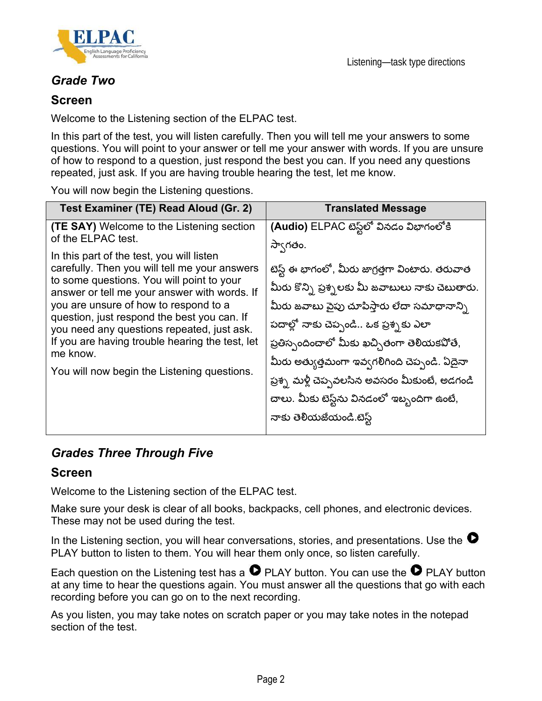

Listening—task type directions

### *Grade Two*

#### **Screen**

Welcome to the Listening section of the ELPAC test.

In this part of the test, you will listen carefully. Then you will tell me your answers to some questions. You will point to your answer or tell me your answer with words. If you are unsure of how to respond to a question, just respond the best you can. If you need any questions repeated, just ask. If you are having trouble hearing the test, let me know.

You will now begin the Listening questions.

| Test Examiner (TE) Read Aloud (Gr. 2)                                                                                                                                                                                                                                                                                                                                                                                                                                                                                 | <b>Translated Message</b>                                                                                                                                                                                                                                                                                                                                                                                                                                                       |
|-----------------------------------------------------------------------------------------------------------------------------------------------------------------------------------------------------------------------------------------------------------------------------------------------------------------------------------------------------------------------------------------------------------------------------------------------------------------------------------------------------------------------|---------------------------------------------------------------------------------------------------------------------------------------------------------------------------------------------------------------------------------------------------------------------------------------------------------------------------------------------------------------------------------------------------------------------------------------------------------------------------------|
| <b>(TE SAY)</b> Welcome to the Listening section<br>of the ELPAC test.<br>In this part of the test, you will listen<br>carefully. Then you will tell me your answers<br>to some questions. You will point to your<br>answer or tell me your answer with words. If<br>you are unsure of how to respond to a<br>question, just respond the best you can. If<br>you need any questions repeated, just ask.<br>If you are having trouble hearing the test, let<br>me know.<br>You will now begin the Listening questions. | (Audio) ELPAC టెస్ట్లలో వినడం విభాగంలోకి<br>సా్వాగతం.<br>టెస్ట్ ఈ భాగంలో, మీరు జాగ్రత్తగా వింటారు. తరువాత<br>మీరు కొన్ని ప్రశ్నలకు మీ జవాబులు నాకు చెబుతారు.<br>మీరు జవాబు పైపు చూపిస్తారు లేదా సమాధానాన్ని<br>పదాల్లో నాకు చెప్పండి ఒక ప్రశ్నకు ఎలా<br>ప్రతిస్పందించాలో మీకు ఖచ్చితంగా తెలియకపోతే,<br>మీరు అత్యుత్తమంగా ఇవ్వగలిగింది చెప్పండి. ఏదైనా<br>ప్రశ్న మళ్లీ చెప్పవలసిన అవసరం మీకుంటే, అడగండి<br>చాలు. మీకు టెస్ట్న వినడంలో ఇబ్బందిగా ఉంటే,<br>నాకు తెలియజేయండి.టెస్ట్ |

### *Grades Three Through Five*

#### **Screen**

Welcome to the Listening section of the ELPAC test.

Make sure your desk is clear of all books, backpacks, cell phones, and electronic devices. These may not be used during the test.

In the Listening section, you will hear conversations, stories, and presentations. Use the  $\bullet$ PLAY button to listen to them. You will hear them only once, so listen carefully.

Each question on the Listening test has a  $\bullet$  PLAY button. You can use the  $\bullet$  PLAY button at any time to hear the questions again. You must answer all the questions that go with each recording before you can go on to the next recording.

As you listen, you may take notes on scratch paper or you may take notes in the notepad section of the test.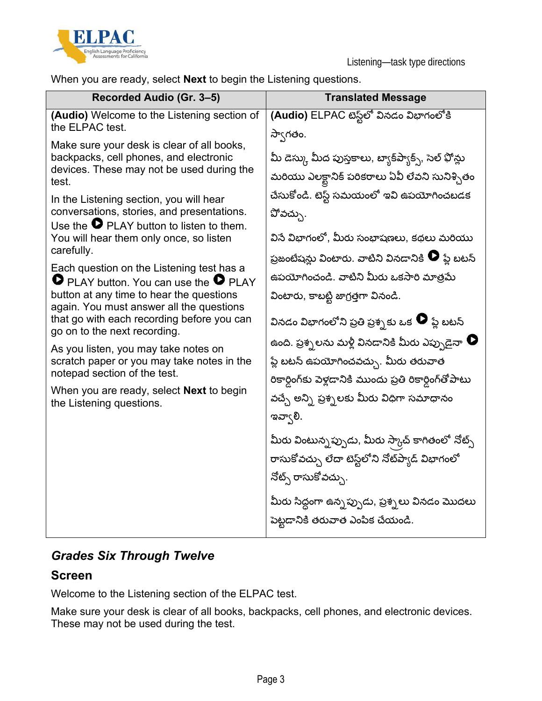

When you are ready, select **Next** to begin the Listening questions.

| Recorded Audio (Gr. 3-5)                                                                                                                                                                                                                                                                                                                                                                                                                                                                                                                                                                                                                                                                                                                                                                                                                                                                            | <b>Translated Message</b>                                                                                                                                                                                                                                                                                                                                                                                                                                                                   |
|-----------------------------------------------------------------------------------------------------------------------------------------------------------------------------------------------------------------------------------------------------------------------------------------------------------------------------------------------------------------------------------------------------------------------------------------------------------------------------------------------------------------------------------------------------------------------------------------------------------------------------------------------------------------------------------------------------------------------------------------------------------------------------------------------------------------------------------------------------------------------------------------------------|---------------------------------------------------------------------------------------------------------------------------------------------------------------------------------------------------------------------------------------------------------------------------------------------------------------------------------------------------------------------------------------------------------------------------------------------------------------------------------------------|
| (Audio) Welcome to the Listening section of<br>the ELPAC test.<br>Make sure your desk is clear of all books,<br>backpacks, cell phones, and electronic<br>devices. These may not be used during the<br>test.<br>In the Listening section, you will hear<br>conversations, stories, and presentations.<br>Use the $\bullet$ PLAY button to listen to them.<br>You will hear them only once, so listen<br>carefully.<br>Each question on the Listening test has a<br>$\bullet$ PLAY button. You can use the $\bullet$ PLAY<br>button at any time to hear the questions<br>again. You must answer all the questions<br>that go with each recording before you can<br>go on to the next recording.<br>As you listen, you may take notes on<br>scratch paper or you may take notes in the<br>notepad section of the test.<br>When you are ready, select <b>Next</b> to begin<br>the Listening questions. | (Audio) ELPAC టెస్ట్లలో వినడం విభాగంలోకి<br>స్వాగతం.<br>మీ డెస్కు మీద పుస్తకాలు, బ్యాక్ష్యాక్స్, సెల్ ఫోన్లు<br>మరియు ఎలక్టానిక్ పరికరాలు ఏవీ లేవని సునిశ్చితం<br>చేసుకోండి. టెస్ట్ సమయంలో ఇవి ఉపయోగించబడక<br>చోవచ్చు.<br>వినే విభాగంలో, మీరు సంభాషణలు, కథలు మరియు<br>ప్రజంటేషన్లు వింటారు. వాటిని వినడానికి $\bullet$ ప్లే బటన్<br>ఉపయోగించండి. వాటిని మీరు ఒకసారి మాత్రమే<br>వింటారు, కాబట్టి జాగ్రత్తగా వినండి.<br>వినడం విభాగంలోని ప్రతి ప్రశ్న కు ఒక $\,\mathord{\bullet}\,$ ప్లే బటన్ |
|                                                                                                                                                                                                                                                                                                                                                                                                                                                                                                                                                                                                                                                                                                                                                                                                                                                                                                     | ఉంది. ప్రశ్నలను మళ్లీ వినడానికి మీరు ఎప్పుడైనా $\bullet$<br>ప్లే బటన్ ఉపయోగించవచ్చు. మీరు తరువాత<br>రికార్డింగ్కు పెళ్లడానికి ముందు ప్రతి రికార్డింగ్ఆోపాటు<br>వచ్చే అన్ని ప్రశ్నలకు మీరు విధిగా సమాధానం<br>ಇವ್(ಲಿ.<br>మీరు వింటున్న <i>ప్పుడు</i> , మీరు స్కాచ్ కాగితంలో నోట్స్<br>రాసుకోవచ్చు లేదా టెస్ట్ <b>లోని నోట్</b> ప్యాడ్ విభాగంలో<br>నోట్స్ రాసుకోవచ్చు.<br>మీరు సిద్ధంగా ఉన్నప్పుడు, ప్రశ్నలు వినడం మొదలు<br>పెట్టడానికి తరువాత ఎంపిక చేయండి.                                   |

## *Grades Six Through Twelve*

#### **Screen**

Welcome to the Listening section of the ELPAC test.

Make sure your desk is clear of all books, backpacks, cell phones, and electronic devices. These may not be used during the test.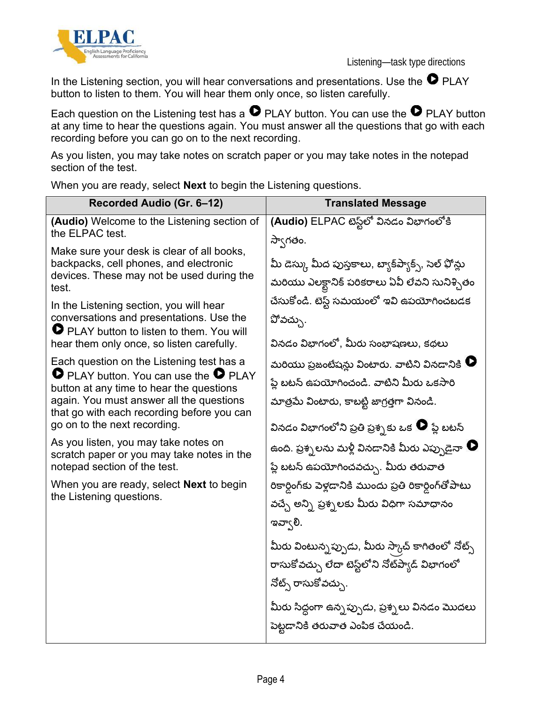



In the Listening section, you will hear conversations and presentations. Use the  $\bullet$  PLAY button to listen to them. You will hear them only once, so listen carefully.

Each question on the Listening test has a  $\bullet$  PLAY button. You can use the  $\bullet$  PLAY button at any time to hear the questions again. You must answer all the questions that go with each recording before you can go on to the next recording.

As you listen, you may take notes on scratch paper or you may take notes in the notepad section of the test.

**Recorded Audio (Gr. 6–12) Translated Message (Audio)** Welcome to the Listening section of the ELPAC test. Make sure your desk is clear of all books, backpacks, cell phones, and electronic devices. These may not be used during the test. In the Listening section, you will hear conversations and presentations. Use the **PLAY button to listen to them. You will** hear them only once, so listen carefully. Each question on the Listening test has a **PLAY button. You can use the P PLAY** button at any time to hear the questions again. You must answer all the questions that go with each recording before you can go on to the next recording. As you listen, you may take notes on scratch paper or you may take notes in the notepad section of the test. When you are ready, select **Next** to begin the Listening questions. (Audio) ELPAC టెస్ట్ వినడం విభాగంలోకి స్వాగతం. మీ డెస్కు మీద పుస్తకాలు, బ్యాక్ష్యాక్స్, సెల్ ఫోన్లు మరియు ఎలక్టానిక్ పరికరాలు ఏవీ లేవని సునిశ్చితం చేసుకోండి. టెస్ట్ సమయంలో ఇవి ఉపయోగించబడక  $\mathfrak{V}$ వచ్చు. వినడం విభాగంలో, మీరు సంభాషణలు, కథలు మరియు ప్రజంటేషన్లు వింటారు. వాటిని వినడానికి  $\bullet$ ప్తే బటన్ ఉపయోగించండి. వాటిని మీరు ఒకసారి మాత్రమే వింటారు, కాబట్టి జాగ్రత్తగా వినండి. వినడం విభాగంలోని ప్రతి ప్రశ్నకు ఒక $\,\mathbf \Theta\,$ ప్త బటన్ ఉంది. ప్రశ్నలను మళ్లీ వినడానికి మీరు ఎప్పుడైనా  $\bullet$ ప్లే బటన్ ఉపయోగించవచ్చు. మీరు తరువాత రికార్గింగ్కు పెళ్లడానికి ముందు ప్రతి రికార్డింగ్ఆోపాటు వచ్చే అన్ని ప్రశ్నలకు మీరు విధిగా సమాధానం ఇవా $($ లి. మీరు వింటున్న*ప్పు*డు, మీరు స్కాచ్ కాగితంలో నోట్స్ రాసుకోవచ్చు లేదా టెస్ట్లలోని నోట్*ప్వాడ్* విభాగంలో నోట్స్ రాసుకోవచ్చు. మీరు సిద్ధంగా ఉన్నప్పుడు, ప్రశ్నలు వినడం మొదలు పెట్టడానికి తరువాత ఎంపిక చేయండి.

When you are ready, select **Next** to begin the Listening questions.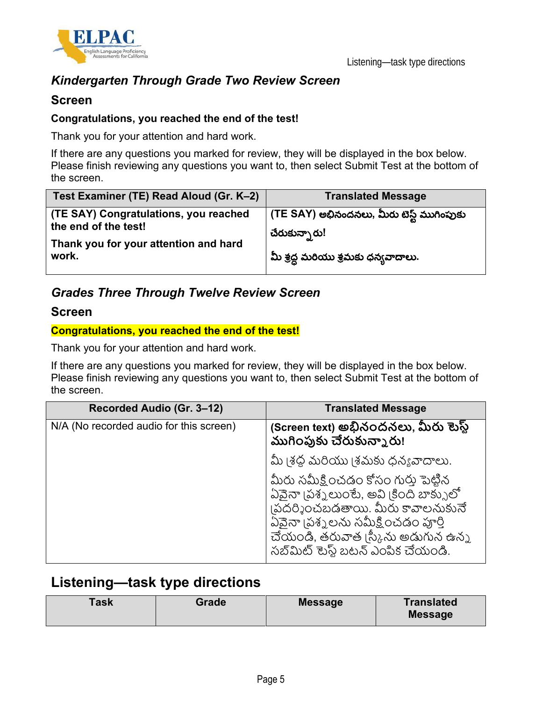

### *Kindergarten Through Grade Two Review Screen*

#### **Screen**

#### **Congratulations, you reached the end of the test!**

Thank you for your attention and hard work.

If there are any questions you marked for review, they will be displayed in the box below. Please finish reviewing any questions you want to, then select Submit Test at the bottom of the screen.

| Test Examiner (TE) Read Aloud (Gr. K-2)                       | <b>Translated Message</b>                                  |
|---------------------------------------------------------------|------------------------------------------------------------|
| (TE SAY) Congratulations, you reached<br>the end of the test! | (TE SAY) అభినందనలు, మీరు టెస్ట్ ముగింపుకు<br>చేరుకున్నారు! |
| Thank you for your attention and hard<br>work.                | మీ శ్రద్ధ మరియు శ్రమకు ధన్యవాదాలు.                         |

### *Grades Three Through Twelve Review Screen*

#### **Screen**

#### **Congratulations, you reached the end of the test!**

Thank you for your attention and hard work.

If there are any questions you marked for review, they will be displayed in the box below. Please finish reviewing any questions you want to, then select Submit Test at the bottom of the screen.

| Recorded Audio (Gr. 3–12)               | <b>Translated Message</b>                                                                                                                                                                                                         |
|-----------------------------------------|-----------------------------------------------------------------------------------------------------------------------------------------------------------------------------------------------------------------------------------|
| N/A (No recorded audio for this screen) | (Screen text) అభినందనలు, మీరు టెస్ట్<br>ముగింపుకు చేరుకున్నారు!                                                                                                                                                                   |
|                                         | మీ (శద్ద మరియు (శమకు ధన్యవాదాలు.                                                                                                                                                                                                  |
|                                         | మీరు సమీక్షించడం కోసం గురు పెట్టిన<br>ఏవైనా (పశ్నలుంటే, అవి (కింది బాక్సులో<br>(పదర్శించబడతాయి. మీరు కావాలనుకునే<br>ఏవైనా (పశ్నలను సమీక్షించడం పూర్తి<br>చేయండి, తరువాత (స్కీను అడుగున ఉన్న<br>సబ్ మిట్ టెస్ట్ బటన్ ఎంపిక చేయండి. |

### **Listening—task type directions**

| Task<br>Grade | <b>Message</b> | <b>Translated</b><br><b>Message</b> |
|---------------|----------------|-------------------------------------|
|---------------|----------------|-------------------------------------|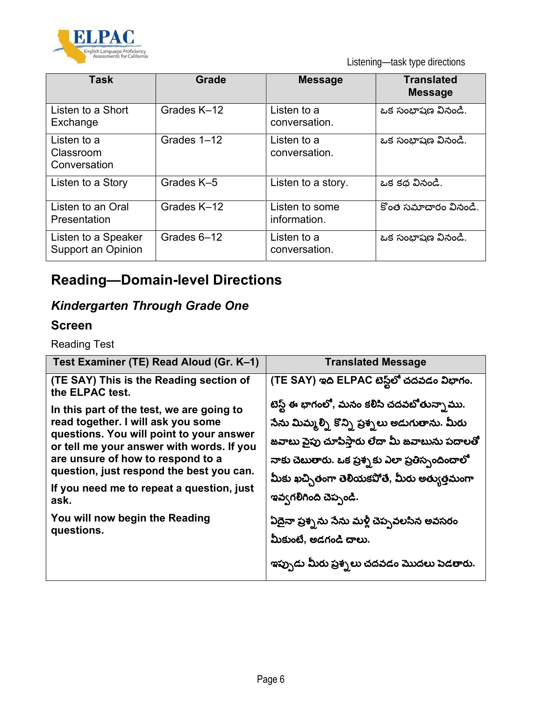

Listening—task type directions

| Task                                      | Grade       | <b>Message</b>                 | <b>Translated</b><br><b>Message</b> |
|-------------------------------------------|-------------|--------------------------------|-------------------------------------|
| Listen to a Short<br>Exchange             | Grades K-12 | Listen to a<br>conversation.   | ఒక సంభాషణ వినండి.                   |
| Listen to a<br>Classroom<br>Conversation  | Grades 1-12 | Listen to a<br>conversation.   | ఒక సంభాషణ వినండి.                   |
| Listen to a Story                         | Grades K-5  | Listen to a story.             | ఒక కథ వినండి.                       |
| Listen to an Oral<br>Presentation         | Grades K-12 | Listen to some<br>information. | కొంత సమాచారం వినండి.                |
| Listen to a Speaker<br>Support an Opinion | Grades 6-12 | Listen to a<br>conversation.   | ఒక సంభాషణ వినండి.                   |

# **Reading—Domain-level Directions**

## *Kindergarten Through Grade One*

### **Screen**

Reading Test

| Test Examiner (TE) Read Aloud (Gr. K-1)                                                                                                                                | <b>Translated Message</b>                                                                                                                                                                         |
|------------------------------------------------------------------------------------------------------------------------------------------------------------------------|---------------------------------------------------------------------------------------------------------------------------------------------------------------------------------------------------|
| (TE SAY) This is the Reading section of<br>the ELPAC test.                                                                                                             | (TE SAY) ఇది ELPAC టెస్ట్లలో చదవడం విభాగం.                                                                                                                                                        |
| In this part of the test, we are going to<br>read together. I will ask you some                                                                                        | టెస్ట్ ఈ భాగంలో, మనం కలిసి చదవబోతున్నాము.                                                                                                                                                         |
| questions. You will point to your answer<br>or tell me your answer with words. If you<br>are unsure of how to respond to a<br>question, just respond the best you can. | సేను మిమ్మల్ని కొన్ని ప్రశ్నలు అడుగుతాను. మీరు<br>జవాబు పైపు చూపిస్తారు లేదా మీ జవాబును పదాలతో<br>నాకు చెబుతారు. ఒక ప్రశ్నకు ఎలా ప్రతిస్పందించాలో<br>మీకు ఖచ్చితంగా తెలియకపోతే, మీరు అత్యుత్తమంగా |
| If you need me to repeat a question, just<br>ask.<br>You will now begin the Reading<br>questions.                                                                      | ఇవ్వగలిగింది చెప్పండి.                                                                                                                                                                            |
|                                                                                                                                                                        | ఏదైనా ప్రశ్నను సేను మళ్లీ చెప్పవలసిన అవసరం<br>మీకుంటే, అడగండి చాలు.                                                                                                                               |
|                                                                                                                                                                        | ఇప్పుడు మీరు ప్రశ్నలు చదవడం మొదలు పెడతారు.                                                                                                                                                        |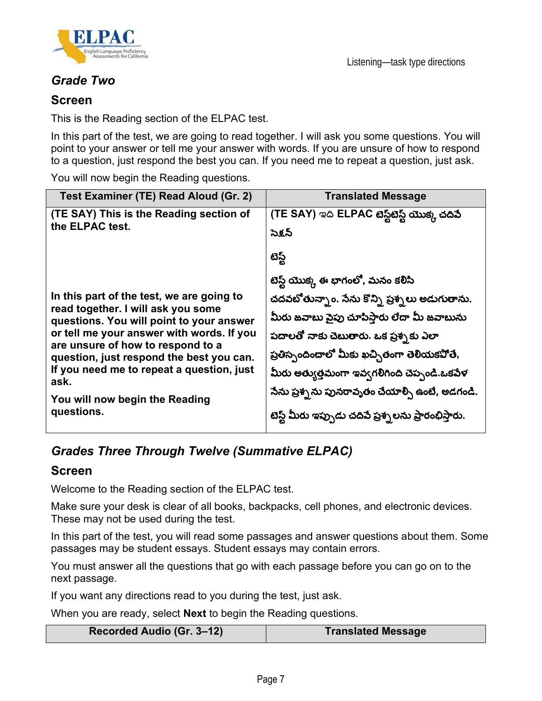

### *Grade Two*

#### **Screen**

This is the Reading section of the ELPAC test.

In this part of the test, we are going to read together. I will ask you some questions. You will point to your answer or tell me your answer with words. If you are unsure of how to respond to a question, just respond the best you can. If you need me to repeat a question, just ask.

You will now begin the Reading questions.

| Test Examiner (TE) Read Aloud (Gr. 2)                                                                                                                                                                                                                                                                                                                          | <b>Translated Message</b>                                                                                                                                                                                                                                                                                                                                                          |
|----------------------------------------------------------------------------------------------------------------------------------------------------------------------------------------------------------------------------------------------------------------------------------------------------------------------------------------------------------------|------------------------------------------------------------------------------------------------------------------------------------------------------------------------------------------------------------------------------------------------------------------------------------------------------------------------------------------------------------------------------------|
| (TE SAY) This is the Reading section of<br>the ELPAC test.                                                                                                                                                                                                                                                                                                     | (TE SAY) ఇది ELPAC టెస్ట్టటెస్ట్ యొక్క చదిపే<br>సెక్షన్<br>టెస్ట్                                                                                                                                                                                                                                                                                                                  |
| In this part of the test, we are going to<br>read together. I will ask you some<br>questions. You will point to your answer<br>or tell me your answer with words. If you<br>are unsure of how to respond to a<br>question, just respond the best you can.<br>If you need me to repeat a question, just<br>ask.<br>You will now begin the Reading<br>questions. | టెస్ట్ యొక్క ఈ భాగంలో, మనం కలిసి<br>చదవబోతున్నాం. సేను కొన్ని ప్రశ్నలు అడుగుతాను.<br>మీరు జవాబు పైపు చూపిస్తారు లేదా మీ జవాబును<br>పదాలతో నాకు చెబుతారు. ఒక ప్రశ్నకు ఎలా<br>ప్రతిస్పందించాలో మీకు ఖచ్చితంగా తెలియకపోతే,<br>మీరు అత్యుత్తమంగా ఇవ్వగలిగింది చెప్పండి.ఒకపేళ<br>సేను ప్రశ్న ను పునరావృతం చేయాల్సి ఉంటే, అడగండి.<br>టెస్ట్ మీరు ఇప్పుడు చదిపే ప్రశ్నలను ప్రారంభిస్తారు. |

### *Grades Three Through Twelve (Summative ELPAC)*

#### **Screen**

Welcome to the Reading section of the ELPAC test.

Make sure your desk is clear of all books, backpacks, cell phones, and electronic devices. These may not be used during the test.

In this part of the test, you will read some passages and answer questions about them. Some passages may be student essays. Student essays may contain errors.

You must answer all the questions that go with each passage before you can go on to the next passage.

If you want any directions read to you during the test, just ask.

When you are ready, select **Next** to begin the Reading questions.

| Recorded Audio (Gr. 3-12) | <b>Translated Message</b> |
|---------------------------|---------------------------|
|---------------------------|---------------------------|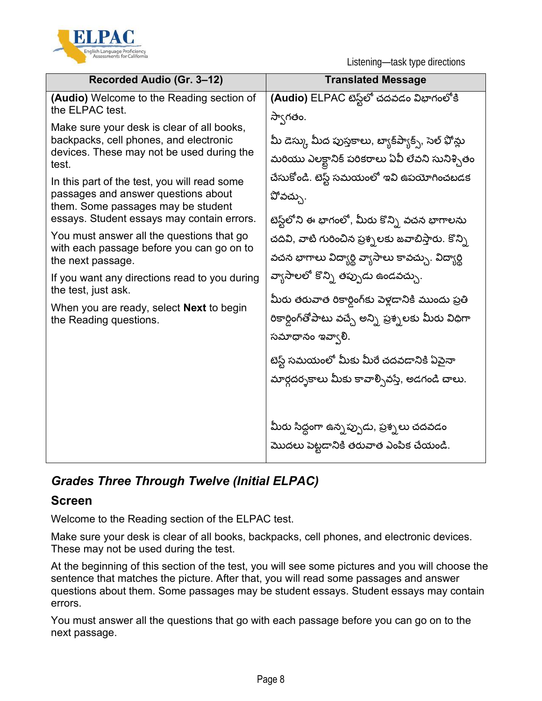

Listening—task type directions

| Recorded Audio (Gr. 3-12)                                                                                                                                                                                                                                        | <b>Translated Message</b>                                   |
|------------------------------------------------------------------------------------------------------------------------------------------------------------------------------------------------------------------------------------------------------------------|-------------------------------------------------------------|
| (Audio) Welcome to the Reading section of<br>the ELPAC test.                                                                                                                                                                                                     | (Audio) ELPAC టెస్ట్లలో చదవడం విభాగంలోకి                    |
|                                                                                                                                                                                                                                                                  | స్వాగతం.                                                    |
| Make sure your desk is clear of all books,<br>backpacks, cell phones, and electronic<br>devices. These may not be used during the                                                                                                                                | మీ డెస్కు మీద పుస్తకాలు, బ్యాక్ష్యాక్స్, సెల్ ఫోన్లు        |
| test.                                                                                                                                                                                                                                                            | మరియు ఎలక్టానిక్ పరికరాలు ఏవీ లేవని సునిశ్చితం              |
| In this part of the test, you will read some                                                                                                                                                                                                                     | చేసుకోండి. టెస్ట్ సమయంలో ఇవి ఉపయోగించబడక                    |
| passages and answer questions about<br>them. Some passages may be student                                                                                                                                                                                        | పోవచ్చు.                                                    |
| essays. Student essays may contain errors.                                                                                                                                                                                                                       | టెస్ట్లలోని ఈ భాగంలో, మీరు కొన్ని వచన భాగాలను               |
| You must answer all the questions that go<br>with each passage before you can go on to<br>the next passage.<br>If you want any directions read to you during<br>the test, just ask.<br>When you are ready, select <b>Next</b> to begin<br>the Reading questions. | చదివి, వాటి గురించిన ప్రశ్నలకు జవాబిస్తారు. కొన్ని          |
|                                                                                                                                                                                                                                                                  | వచన భాగాలు విద్యార్థి వ్యాసాలు కావచ్చు. విద్యార్థి          |
|                                                                                                                                                                                                                                                                  | వ్యాసాలలో కొన్ని తప్పుడు ఉండవచ్చు.                          |
|                                                                                                                                                                                                                                                                  | మీరు తరువాత రికార్డింగ్కు పెళ్లడానికి ముందు ప్రతి           |
|                                                                                                                                                                                                                                                                  | రికార్డింగ్ <b>తోపాటు వచ్చే అన్ని ప్రశ్నలకు మీరు</b> విధిగా |
|                                                                                                                                                                                                                                                                  | సమాధానం ఇవ్వాలి.                                            |
|                                                                                                                                                                                                                                                                  | టెస్ట్ సమయంలో మీకు మీరే చదవడానికి ఏవైనా                     |
|                                                                                                                                                                                                                                                                  | మార్గదర్నకాలు మీకు కావార్సివస్తే, అడగండి చాలు.              |
|                                                                                                                                                                                                                                                                  |                                                             |
|                                                                                                                                                                                                                                                                  |                                                             |
|                                                                                                                                                                                                                                                                  | మీరు సిద్ధంగా ఉన్నప్పుడు, ప్రశ్నలు చదవడం                    |
|                                                                                                                                                                                                                                                                  | మొదలు పెట్టడానికి తరువాత ఎంపిక చేయండి.                      |

## *Grades Three Through Twelve (Initial ELPAC)*

### **Screen**

Welcome to the Reading section of the ELPAC test.

Make sure your desk is clear of all books, backpacks, cell phones, and electronic devices. These may not be used during the test.

At the beginning of this section of the test, you will see some pictures and you will choose the sentence that matches the picture. After that, you will read some passages and answer questions about them. Some passages may be student essays. Student essays may contain errors.

You must answer all the questions that go with each passage before you can go on to the next passage.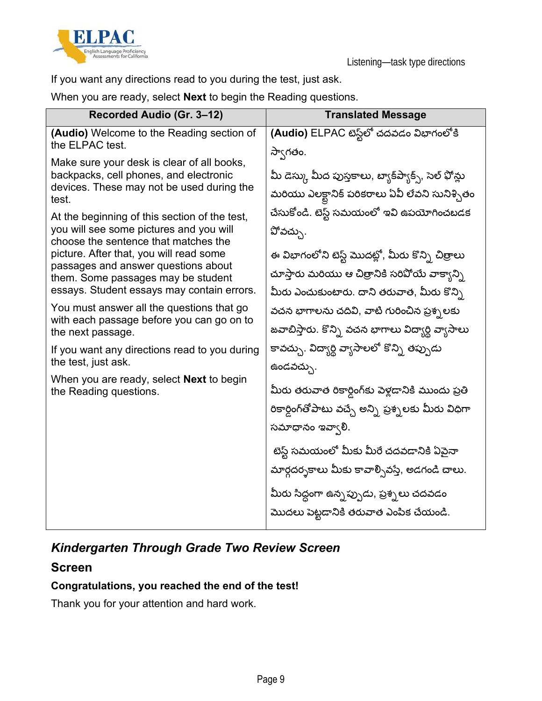



If you want any directions read to you during the test, just ask.

When you are ready, select **Next** to begin the Reading questions.

| Recorded Audio (Gr. 3-12)                                                                                                                  | <b>Translated Message</b>                                                                              |
|--------------------------------------------------------------------------------------------------------------------------------------------|--------------------------------------------------------------------------------------------------------|
| (Audio) Welcome to the Reading section of<br>the ELPAC test.                                                                               | (Audio) ELPAC టెస్ట్లలో చదవడం విభాగంలోకి<br>స్వాగతం.                                                   |
| Make sure your desk is clear of all books,<br>backpacks, cell phones, and electronic<br>devices. These may not be used during the<br>test. | మీ డెస్కు మీద పుస్తకాలు, బ్యాక్ష్యాక్స్, సెల్ ఫోన్లు<br>మరియు ఎలక్టానిక్ పరికరాలు ఏవీ లేవని సునిశ్చితం |
| At the beginning of this section of the test,<br>you will see some pictures and you will<br>choose the sentence that matches the           | చేసుకోండి. టెస్ట్ సమయంలో ఇవి ఉపయోగించబడక<br>పోవచ్చు.                                                   |
| picture. After that, you will read some<br>passages and answer questions about<br>them. Some passages may be student                       | ఈ విభాగంలోని టెస్ట్ మొదట్లో, మీరు కొన్ని చిత్రాలు                                                      |
|                                                                                                                                            | చూస్తారు మరియు ఆ చిత్రానికి సరివోయే వాక్యాన్ని                                                         |
| essays. Student essays may contain errors.                                                                                                 | మీరు ఎంచుకుంటారు. దాని తరువాత, మీరు కొన్ని                                                             |
| You must answer all the questions that go<br>with each passage before you can go on to<br>the next passage.                                | వచన భాగాలను చదివి, వాటి గురించిన ప్రశ్నలకు                                                             |
|                                                                                                                                            | జవాబిస్తారు. కొన్ని వచన భాగాలు విద్యార్థి వ్యాసాలు                                                     |
| If you want any directions read to you during<br>the test, just ask.                                                                       | కావచ్చు. విద్యార్థి వ్యాసాలలో కొన్ని తప్పుడు<br>ఉండవచ్చు.                                              |
| When you are ready, select <b>Next</b> to begin                                                                                            |                                                                                                        |
| the Reading questions.                                                                                                                     | మీరు తరువాత రికార్డింగ్కు పెళ్లడానికి ముందు ప్రతి                                                      |
|                                                                                                                                            | రికార్డింగ్తోపాటు వచ్చే అన్ని ప్రశ్నలకు మీరు విధిగా                                                    |
|                                                                                                                                            | సమాధానం ఇవ్వాలి.                                                                                       |
|                                                                                                                                            | టెస్ట్ సమయంలో మీకు మీరే చదవడానికి ఏవైనా                                                                |
|                                                                                                                                            | మార్గదర్నకాలు మీకు కావాల్సివస్తే, అడగండి చాలు.                                                         |
|                                                                                                                                            | మీరు సిద్ధంగా ఉన్నప్పుడు, ప్రశ్నలు చదవడం                                                               |
|                                                                                                                                            | మొదలు పెట్టడానికి తరువాత ఎంపిక చేయండి.                                                                 |

### *Kindergarten Through Grade Two Review Screen*

### **Screen**

#### **Congratulations, you reached the end of the test!**

Thank you for your attention and hard work.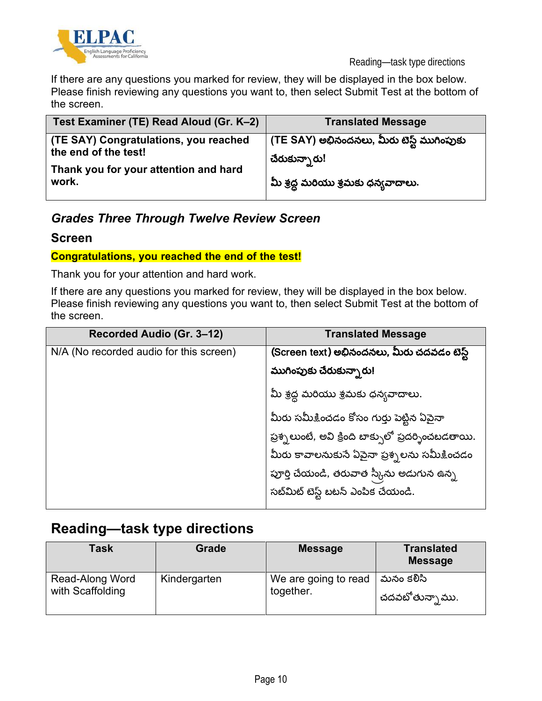

If there are any questions you marked for review, they will be displayed in the box below. Please finish reviewing any questions you want to, then select Submit Test at the bottom of the screen.

| Test Examiner (TE) Read Aloud (Gr. K-2)                       | <b>Translated Message</b>                                    |
|---------------------------------------------------------------|--------------------------------------------------------------|
| (TE SAY) Congratulations, you reached<br>the end of the test! | (TE SAY) అభినందనలు, మీరు టెస్ట్ ముగింపుకు  <br>చేరుకున్నారు! |
| Thank you for your attention and hard<br>work.                | మీ శ్రద్ధ మరియు శ్రమకు ధన్యవాదాలు.                           |

### *Grades Three Through Twelve Review Screen*

#### **Screen**

#### **Congratulations, you reached the end of the test!**

Thank you for your attention and hard work.

If there are any questions you marked for review, they will be displayed in the box below. Please finish reviewing any questions you want to, then select Submit Test at the bottom of the screen.

| Recorded Audio (Gr. 3-12)               | <b>Translated Message</b>                           |
|-----------------------------------------|-----------------------------------------------------|
| N/A (No recorded audio for this screen) | (Screen text) అభినందనలు, మీరు చదవడం టెస్ట్          |
|                                         | ముగింపుకు చేరుకున్నారు!                             |
|                                         | మీ శ్రద్ధ మరియు శ్రమకు ధన్యవాదాలు.                  |
|                                         | మీరు సమీకించడం కోసం గుర్తు పెట్టిన ఏపైనా            |
|                                         | ప్రశ్నలుంటే, అవి క్రింది బాక్సులో ప్రదర్శించబడతాయి. |
|                                         | మీరు కావాలనుకునే ఏపైనా ప్రశ్నలను సమీక్షించడం        |
|                                         | పూర్తి చేయండి, తరువాత స్కీను అడుగున ఉన్న            |
|                                         | సబ్మిట్ టెస్ట్ బటన్ ఎంపిక చేయండి.                   |

## **Reading—task type directions**

| <b>Task</b>      | <b>Grade</b> | <b>Message</b>       | <b>Translated</b><br><b>Message</b> |
|------------------|--------------|----------------------|-------------------------------------|
| Read-Along Word  | Kindergarten | We are going to read | మనం కలిసి                           |
| with Scaffolding |              | together.            | చదవబోతునా్ము.                       |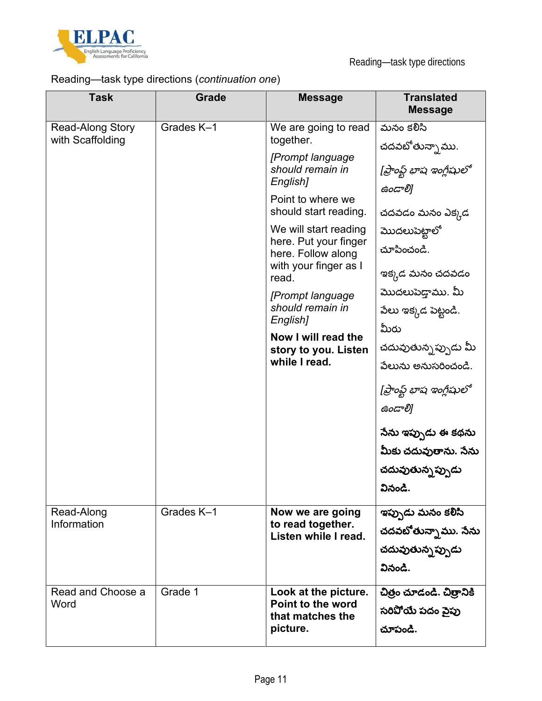

### Reading—task type directions (*continuation one*)

| <b>Task</b>                                 | Grade      | <b>Message</b>                                                                                                                                                                                                                                                                                                                                                    | <b>Translated</b><br><b>Message</b>                                                                                                                                                                                                                                                                                                                               |
|---------------------------------------------|------------|-------------------------------------------------------------------------------------------------------------------------------------------------------------------------------------------------------------------------------------------------------------------------------------------------------------------------------------------------------------------|-------------------------------------------------------------------------------------------------------------------------------------------------------------------------------------------------------------------------------------------------------------------------------------------------------------------------------------------------------------------|
| <b>Read-Along Story</b><br>with Scaffolding | Grades K-1 | We are going to read<br>together.<br>[Prompt language<br>should remain in<br>English]<br>Point to where we<br>should start reading.<br>We will start reading<br>here. Put your finger<br>here. Follow along<br>with your finger as I<br>read.<br>[Prompt language<br>should remain in<br>English]<br>Now I will read the<br>story to you. Listen<br>while I read. | మనం కలిసి<br>చదవబోతున్నాము.<br>[ప్రాంప్ట్ భాష ఇంగ్లీషులో<br>ఉండాలి]<br>చదవడం మనం ఎక్కడ<br>మొదలుపెట్టాలో<br>చూపించండి.<br>ఇక్కడ మనం చదవడం<br>మొదలుపెడ్తాము. మీ<br>పేలు ఇక్కడ పెట్టండి.<br>మీరు<br>చదువుతున్నప్పుడు మీ<br>పేలును అనుసరించండి.<br>[ప్రాంఫ్ట్ భాష ఇంగ్లీషులో<br>ఉండాలి]<br>సేను ఇప్పుడు ఈ కథను<br>మీకు చదువుతాను. సేను<br>చదువుతున్నప్పుడు<br>వినండి. |
| Read-Along<br>Information                   | Grades K-1 | Now we are going<br>to read together.<br>Listen while I read.                                                                                                                                                                                                                                                                                                     | ఇప్పుడు మనం కలిసి<br>చదవబోతున్నాము. సేను<br>చదువుతున్నప్పుడు<br>వినండి.                                                                                                                                                                                                                                                                                           |
| Read and Choose a<br>Word                   | Grade 1    | Look at the picture.<br>Point to the word<br>that matches the<br>picture.                                                                                                                                                                                                                                                                                         | చిత్రం చూడండి. చిత్రానికి<br>సరిపోయే పదం వైపు<br>చూపండి.                                                                                                                                                                                                                                                                                                          |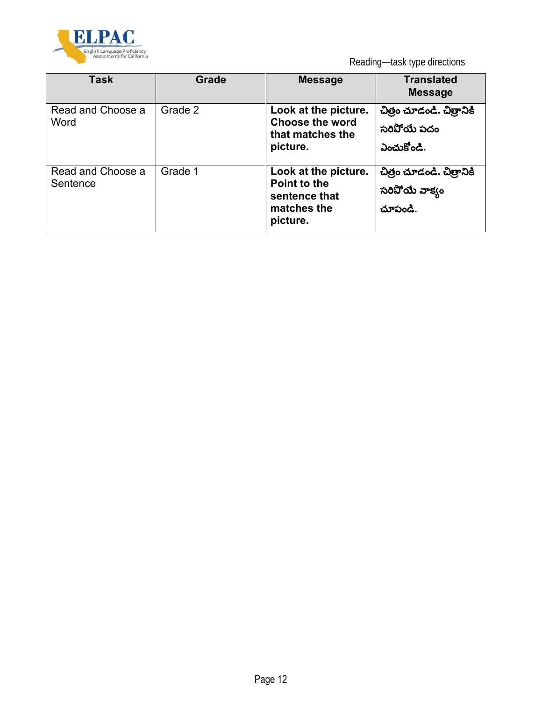

Reading—task type directions

| Task                          | Grade   | <b>Message</b>                                                                   | <b>Translated</b><br><b>Message</b>                    |
|-------------------------------|---------|----------------------------------------------------------------------------------|--------------------------------------------------------|
| Read and Choose a<br>Word     | Grade 2 | Look at the picture.<br><b>Choose the word</b><br>that matches the<br>picture.   | చిత్రం చూడండి. చిత్రానికి<br>సరిపోయే పదం<br>ఎంచుకోండి. |
| Read and Choose a<br>Sentence | Grade 1 | Look at the picture.<br>Point to the<br>sentence that<br>matches the<br>picture. | చిత్రం చూడండి. చిత్రానికి<br>సరిపోయే వాక్యం<br>చూపండి. |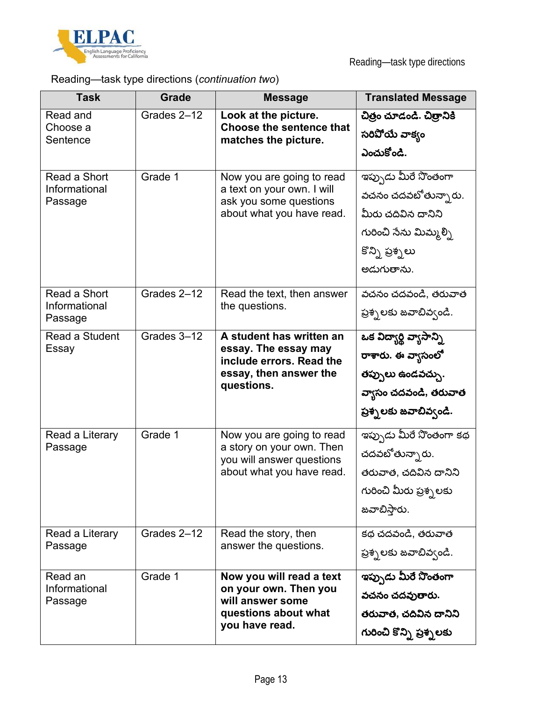

### Reading—task type directions (*continuation two*)

| <b>Task</b>                              | Grade       | <b>Message</b>                                                                                                       | <b>Translated Message</b>                                                                                                    |
|------------------------------------------|-------------|----------------------------------------------------------------------------------------------------------------------|------------------------------------------------------------------------------------------------------------------------------|
| Read and<br>Choose a<br>Sentence         | Grades 2-12 | Look at the picture.<br><b>Choose the sentence that</b><br>matches the picture.                                      | చిత్రం చూడండి. చిత్రానికి<br>సరిపోయే వాక్యం<br>ఎంచుకోండి.                                                                    |
| Read a Short<br>Informational<br>Passage | Grade 1     | Now you are going to read<br>a text on your own. I will<br>ask you some questions<br>about what you have read.       | ఇప్పుడు మీరే నొంతంగా<br>వచనం చదవబోతున్నారు.<br>మీరు చదివిన దానిని<br>గురించి సేను మిమ్మల్ని<br>కొన్ని ప్రశ్నలు<br>అడుగుతాను. |
| Read a Short<br>Informational<br>Passage | Grades 2-12 | Read the text, then answer<br>the questions.                                                                         | వచనం చదవండి, తరువాత<br>ప్రశ్నలకు జవాబివ్వండి.                                                                                |
| Read a Student<br>Essay                  | Grades 3-12 | A student has written an<br>essay. The essay may<br>include errors. Read the<br>essay, then answer the<br>questions. | ఒక విద్యార్థి వ్యాసాన్ని<br>రాశారు. ఈ వ్యాసంలో<br>తప్పులు ఉండవచ్చు.<br>వ్యాసం చదవండి, తరువాత<br>ప్రశ్నలకు జవాబివ్వండి.       |
| Read a Literary<br>Passage               | Grade 1     | Now you are going to read<br>a story on your own. Then<br>you will answer questions<br>about what you have read.     | ఇప్పుడు మీరే నొంతంగా కథ<br>చదవటోతున్నారు.<br>తరువాత, చదివిన దానిని<br>గురించి మీరు ప్రశ్నలకు<br>జవాబిస్తారు.                 |
| Read a Literary<br>Passage               | Grades 2-12 | Read the story, then<br>answer the questions.                                                                        | కథ చదవండి, తరువాత<br>ప్రశ్నలకు జవాబివ్వండి.                                                                                  |
| Read an<br>Informational<br>Passage      | Grade 1     | Now you will read a text<br>on your own. Then you<br>will answer some<br>questions about what<br>you have read.      | ఇప్పుడు మీరే నొంతంగా<br>వచనం చదవుతారు.<br>తరువాత, చదివిన దానిని<br>గురించి కొన్ని ప్రశ్నలకు                                  |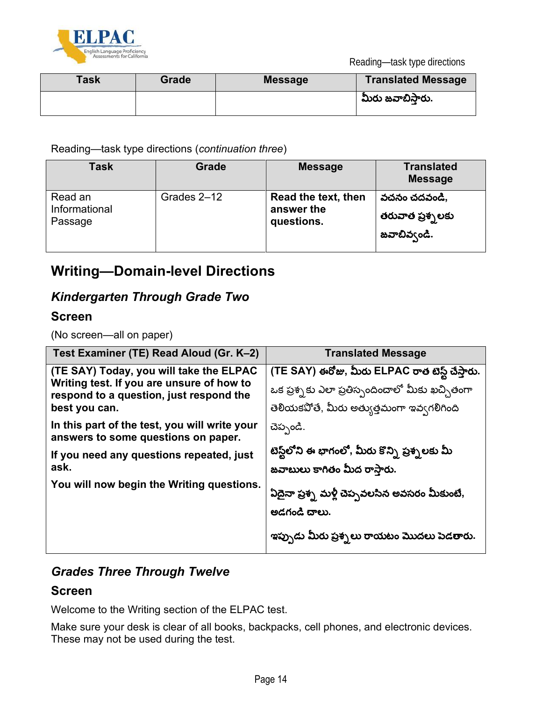



| Task | Grade | <b>Message</b> | <b>Translated Message</b> |
|------|-------|----------------|---------------------------|
|      |       |                | మీరు జవాబిస్తారు.         |

Reading—task type directions (*continuation three*)

| Task          | Grade       | <b>Message</b>      | <b>Translated</b><br><b>Message</b> |
|---------------|-------------|---------------------|-------------------------------------|
| Read an       | Grades 2-12 | Read the text, then | వచనం చదవండి,                        |
| Informational |             | answer the          | తరువాత ప్రశ్నలకు                    |
| Passage       |             | questions.          | జవాబివ్వండి.                        |

## **Writing—Domain-level Directions**

### *Kindergarten Through Grade Two*

#### **Screen**

(No screen—all on paper)

| Test Examiner (TE) Read Aloud (Gr. K-2)                                                                                                          | <b>Translated Message</b>                                                                                                                        |
|--------------------------------------------------------------------------------------------------------------------------------------------------|--------------------------------------------------------------------------------------------------------------------------------------------------|
| (TE SAY) Today, you will take the ELPAC<br>Writing test. If you are unsure of how to<br>respond to a question, just respond the<br>best you can. | (TE SAY) ఈరోజు, మీరు ELPAC రాత టెస్ట్ చేస్తారు.<br>ఒక ప్రశ్నకు ఎలా ప్రతిస్పందించాలో మీకు ఖచ్చితంగా<br>తెలియకపోతే, మీరు అత్యుత్తమంగా ఇవ్వగలిగింది |
| In this part of the test, you will write your<br>answers to some questions on paper.<br>If you need any questions repeated, just<br>ask.         | చెప్పండి.<br>టెస్ట్లలోని ఈ భాగంలో, మీరు కొన్ని ప్రశ్నలకు మీ<br>జవాబులు కాగితం మీద రాస్తారు.                                                      |
| You will now begin the Writing questions.                                                                                                        | ఏదైనా ప్రశ్న మళ్లీ చెప్పవలసిన అవసరం మీకుంటే,<br>ಅದಗಂದೆ ದಾಲು.<br>ఇప్పుడు మీరు ప్రశ్నలు రాయటం మొదలు పెడతారు.                                       |

### *Grades Three Through Twelve*

#### **Screen**

Welcome to the Writing section of the ELPAC test.

Make sure your desk is clear of all books, backpacks, cell phones, and electronic devices. These may not be used during the test.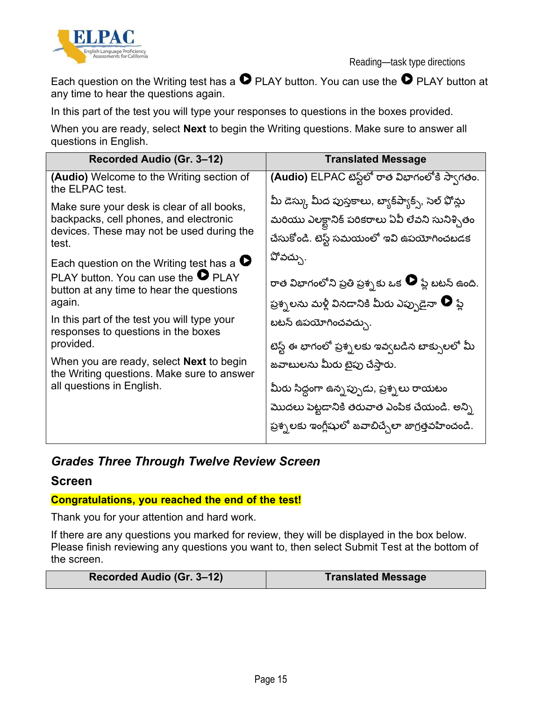



Each question on the Writing test has a  $\bullet$  PLAY button. You can use the  $\bullet$  PLAY button at any time to hear the questions again.

In this part of the test you will type your responses to questions in the boxes provided.

When you are ready, select **Next** to begin the Writing questions. Make sure to answer all questions in English.

| Recorded Audio (Gr. 3–12)                                                                                                                                                                                                                                                                                                                                                               | <b>Translated Message</b>                                                                                                                                                                                                                                                                                                                                                                         |
|-----------------------------------------------------------------------------------------------------------------------------------------------------------------------------------------------------------------------------------------------------------------------------------------------------------------------------------------------------------------------------------------|---------------------------------------------------------------------------------------------------------------------------------------------------------------------------------------------------------------------------------------------------------------------------------------------------------------------------------------------------------------------------------------------------|
| <b>(Audio)</b> Welcome to the Writing section of<br>the ELPAC test.                                                                                                                                                                                                                                                                                                                     | (Audio) ELPAC టెస్ట్లలో రాత విభాగంలోకి స్వాగతం.                                                                                                                                                                                                                                                                                                                                                   |
| Make sure your desk is clear of all books,<br>backpacks, cell phones, and electronic<br>devices. These may not be used during the<br>test.                                                                                                                                                                                                                                              | మీ డెస్కు మీద పుస్తకాలు, బ్యాక్షి్యాక్స్, సెల్ ఫోన్లు<br>మరియు ఎలక్టానిక్ పరికరాలు ఏవీ లేవని సునిశ్చితం<br>చేసుకోండి. టెస్ట్ సమయంలో ఇవి ఉపయోగించబడక                                                                                                                                                                                                                                               |
| Each question on the Writing test has a $\bullet$<br>PLAY button. You can use the $\bullet$ PLAY<br>button at any time to hear the questions<br>again.<br>In this part of the test you will type your<br>responses to questions in the boxes<br>provided.<br>When you are ready, select <b>Next</b> to begin<br>the Writing questions. Make sure to answer<br>all questions in English. | పోవచ్చు.<br>రాత విభాగంలోని ప్రతి ప్రశ్నకు ఒక $\,\bullet\,$ ప్లే బటన్ ఉంది.<br>ప్రశ్నలను మళ్లీ వినడానికి మీరు ఎప్పుడైనా $\bullet$ ప్లే<br>బటన్ ఉపయోగించవచ్చు.<br>టెస్ట్ ఈ భాగంలో ప్రశ్నలకు ఇవ్వబడిన బాక్సులలో మీ<br>జవాబులను మీరు టైపు చేస్తారు.<br>మీరు సిద్ధంగా ఉన్నప్పుడు, ప్రశ్నలు రాయటం<br>మొదలు పెట్టడానికి తరువాత ఎంపిక చేయండి. అన్ని<br>ప్రశ్నలకు ఇంగ్లీషులో జవాబిచ్చేలా జాగ్రత్తవహించండి. |

### *Grades Three Through Twelve Review Screen*

#### **Screen**

#### **Congratulations, you reached the end of the test!**

Thank you for your attention and hard work.

If there are any questions you marked for review, they will be displayed in the box below. Please finish reviewing any questions you want to, then select Submit Test at the bottom of the screen.

| Recorded Audio (Gr. 3-12)<br><b>Translated Message</b> |
|--------------------------------------------------------|
|--------------------------------------------------------|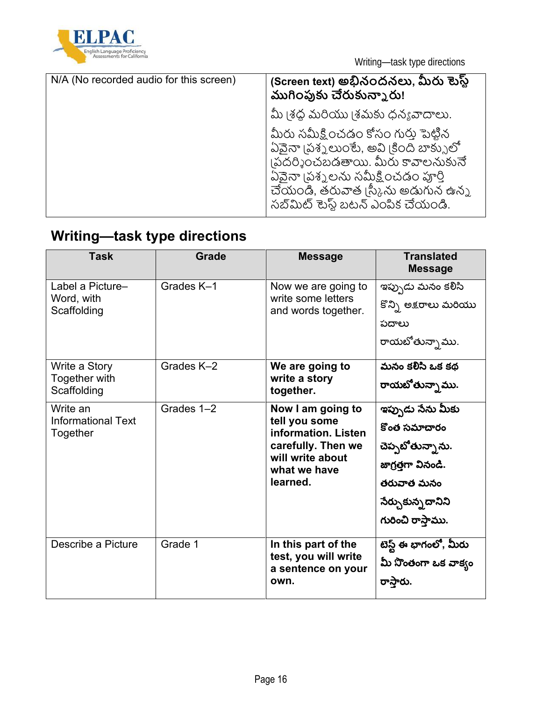

| N/A (No recorded audio for this screen) | (Screen text) అభినందనలు, మీరు టెస్ట్<br>ముగింపుకు చేరుకున్నారు!                                                                                                                                                                   |
|-----------------------------------------|-----------------------------------------------------------------------------------------------------------------------------------------------------------------------------------------------------------------------------------|
|                                         | మీ (శద్ధ మరియు (శమకు ధన్యవాదాలు.                                                                                                                                                                                                  |
|                                         | మీరు సమీక్షించడం కోసం గురు పెట్టిన<br>ఏవైనా (పశ్నలుంటే, అవి (కింది బాక్సులో<br> పదర్శించబడతాయి. మీరు కావాలనుకునే<br>ఏవైనా (పశ్నలను సమీక్షించడం పూర్తి<br>చేయండి, తరువాత ¦స్కీను అడుగున ఉన్న<br>సబ్ మిట్ టెస్ట్ బటన్ ఎంపిక చేయండి. |

# **Writing—task type directions**

| <b>Task</b>                           | <b>Grade</b> | <b>Message</b>                                                                                             | <b>Translated</b><br><b>Message</b> |
|---------------------------------------|--------------|------------------------------------------------------------------------------------------------------------|-------------------------------------|
| Label a Picture-                      | Grades K-1   | Now we are going to                                                                                        | ఇప్పుడు మనం కలిసి                   |
| Word, with<br>Scaffolding             |              | write some letters<br>and words together.                                                                  | కొన్ని అక్షరాలు మరియు               |
|                                       |              |                                                                                                            | పదాలు                               |
|                                       |              |                                                                                                            | రాయబోతున్నాము.                      |
| Write a Story                         | Grades K-2   | We are going to                                                                                            | మనం కలిసి ఒక కథ                     |
| Together with<br>Scaffolding          |              | write a story<br>together.                                                                                 | రాయటోతున్నా ము.                     |
| Write an                              | Grades 1-2   | Now I am going to                                                                                          | ఇప్పుడు సేను మీకు                   |
| <b>Informational Text</b><br>Together |              | tell you some<br>information. Listen<br>carefully. Then we<br>will write about<br>what we have<br>learned. | కొంత సమాచారం                        |
|                                       |              |                                                                                                            | చెప్పబోతున్నాను.                    |
|                                       |              |                                                                                                            | జాగ్రత్తగా వినండి.                  |
|                                       |              |                                                                                                            | తరువాత మనం                          |
|                                       |              |                                                                                                            | నేర్చుకున్నదానిని                   |
|                                       |              |                                                                                                            | గురించి రాస్తాము.                   |
| Describe a Picture                    | Grade 1      | In this part of the                                                                                        | టెస్ట్ ఈ భాగంలో, మీరు               |
|                                       |              | test, you will write<br>a sentence on your                                                                 | మీ నొంతంగా ఒక వాక్యం                |
|                                       |              | own.                                                                                                       | రాస్తారు.                           |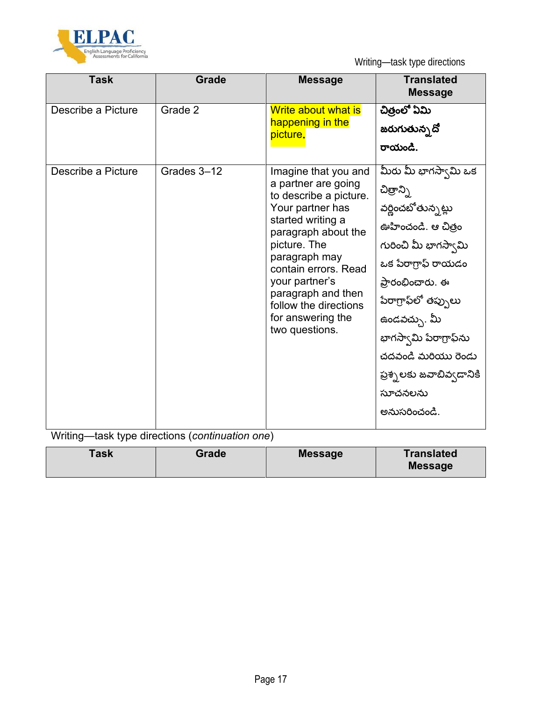

| <b>Task</b>        | <b>Grade</b> | <b>Message</b>                                                                                                                                                                                                                                                                                         | <b>Translated</b><br><b>Message</b>                                                                                                                                                                                                                                                                              |
|--------------------|--------------|--------------------------------------------------------------------------------------------------------------------------------------------------------------------------------------------------------------------------------------------------------------------------------------------------------|------------------------------------------------------------------------------------------------------------------------------------------------------------------------------------------------------------------------------------------------------------------------------------------------------------------|
| Describe a Picture | Grade 2      | Write about what is<br>happening in the<br>picture.                                                                                                                                                                                                                                                    | చిత్రంలో ఏమి<br>జరుగుతున్న <b>దో</b><br>రాయండి.                                                                                                                                                                                                                                                                  |
| Describe a Picture | Grades 3-12  | Imagine that you and<br>a partner are going<br>to describe a picture.<br>Your partner has<br>started writing a<br>paragraph about the<br>picture. The<br>paragraph may<br>contain errors. Read<br>your partner's<br>paragraph and then<br>follow the directions<br>for answering the<br>two questions. | మీరు మీ భాగస్వామి ఒక<br>చిత్రాన్ని<br>వర్ణించబోతున్నట్లు<br>ఊహించండి. ఆ చిత్రం<br>గురించి మీ భాగస్వామి<br>ఒక పేరాగ్రాఫ్ రాయడం<br>ప్రారంభించారు. ఈ<br>పేరాగ్రాఫ్ <b>లో తప్పులు</b><br>ఉండవచ్చు. మీ<br>భాగస్వామి పేరాగ్రాఫ్ <i>ను</i><br>చదవండి మరియు రెండు<br>ప్రశ్నలకు జవాబివ్వడానికి<br>సూచనలను<br>అనుసరించండి. |

Writing—task type directions (*continuation one*)

| Task<br>Grade | <b>Message</b> | <b>Translated</b><br><b>Message</b> |
|---------------|----------------|-------------------------------------|
|---------------|----------------|-------------------------------------|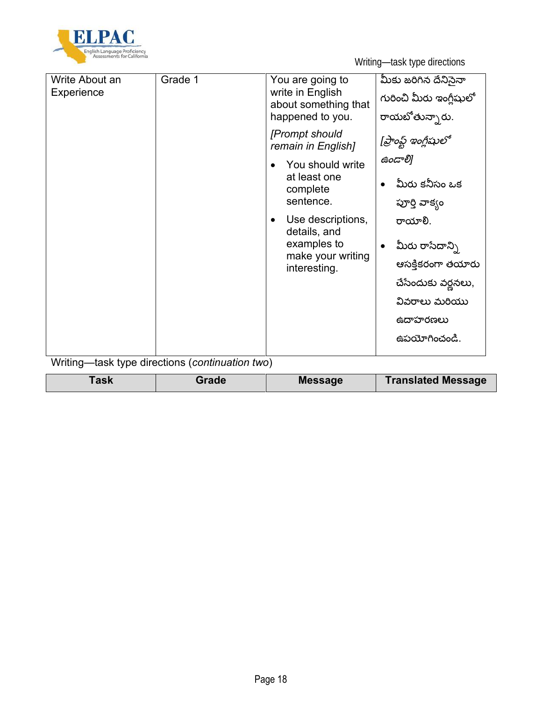

| Write About an<br>Experience | Grade 1                                         | You are going to<br>write in English<br>about something that<br>happened to you. | మీకు జరిగిన దేనిసైనా<br>గురించి మీరు ఇంగ్లీషులో<br>రాయబోతున్నారు. |
|------------------------------|-------------------------------------------------|----------------------------------------------------------------------------------|-------------------------------------------------------------------|
|                              |                                                 | [Prompt should<br>remain in English]                                             | [ప్రాంఫ్ట్ ఇంగ్లీషులో                                             |
|                              |                                                 | You should write                                                                 | ఉండాలి]                                                           |
|                              |                                                 | at least one<br>complete                                                         | మీరు కనీసం ఒక                                                     |
|                              |                                                 | sentence.                                                                        | పూర్తి వాక్యం                                                     |
|                              |                                                 | Use descriptions,<br>$\bullet$<br>details, and                                   | రాయాలి.                                                           |
|                              |                                                 | examples to                                                                      | $\bullet$ మీరు రాసేదాన్ని                                         |
|                              |                                                 | make your writing<br>interesting.                                                | ఆసక్తికరంగా తయారు                                                 |
|                              |                                                 |                                                                                  | చేసేందుకు వర్ణనలు,                                                |
|                              |                                                 |                                                                                  | వివరాలు మరియు                                                     |
|                              |                                                 |                                                                                  | ఉదాహరణలు                                                          |
|                              |                                                 |                                                                                  | ఉపయోగించండి.                                                      |
|                              |                                                 |                                                                                  |                                                                   |
|                              | Writing—task type directions (continuation two) |                                                                                  |                                                                   |

| <b>ask</b> | <b>Translated Message</b> |
|------------|---------------------------|
| Grade      | <b>Message</b>            |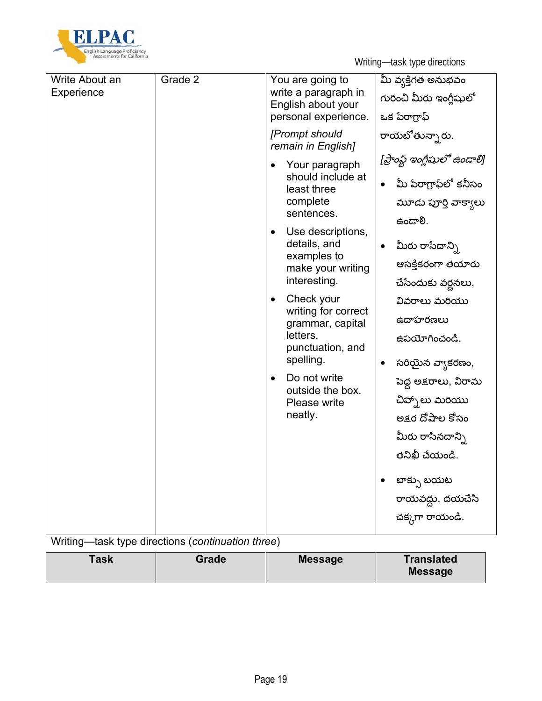

| Write About an | Grade 2 | You are going to                           | మీ వ్వక్తిగత అనుభవం                 |
|----------------|---------|--------------------------------------------|-------------------------------------|
| Experience     |         | write a paragraph in<br>English about your | గురించి మీరు ఇంగ్లీషులో             |
|                |         | personal experience.                       | ఒక పేరాగ్రాఫ్                       |
|                |         | [Prompt should<br>remain in English]       | రాయబోతున్నారు.                      |
|                |         | Your paragraph                             | [ప్రాంఫ్ట్ ఇంగ్లీషులో ఉండాలి]       |
|                |         | should include at<br>least three           | మీ పేరాగ్రాఫ్ౖలో కనీసం<br>$\bullet$ |
|                |         | complete<br>sentences.                     | మూడు పూర్తి వాక్యాలు                |
|                |         | Use descriptions,<br>$\bullet$             | .ઉౡుప                               |
|                |         | details, and<br>examples to                | మీరు రాసేదాన్ని<br>$\bullet$        |
|                |         | make your writing                          | ఆసక్తికరంగా తయారు                   |
|                |         | interesting.                               | చేసేందుకు వర్ణనలు,                  |
|                |         | Check your<br>writing for correct          | వివరాలు మరియు                       |
|                |         | grammar, capital                           | ఉదాహరణలు                            |
|                |         | letters,<br>punctuation, and               | ఉపయోగించండి.                        |
|                |         | spelling.                                  | సరియైన వ్యాకరణం,<br>$\bullet$       |
|                |         | Do not write<br>outside the box.           | పెద్ద అక్షరాలు, విరామ               |
|                |         | Please write                               | చిహ్చాలు మరియు                      |
|                |         | neatly.                                    | అక్షర దోషాల కోసం                    |
|                |         |                                            | మీరు రాసినదాన్ని                    |
|                |         |                                            | తనిఖీ చేయండి.                       |
|                |         |                                            | బాక్సు బయట                          |
|                |         |                                            | రాయవద్దు. దయచేసి                    |
|                |         |                                            | చక్కగా రాయండి.                      |

Writing—task type directions (*continuation three*)

| <b>Task</b><br>Grade | <b>Message</b> | <b>Translated</b><br><b>Message</b> |
|----------------------|----------------|-------------------------------------|
|----------------------|----------------|-------------------------------------|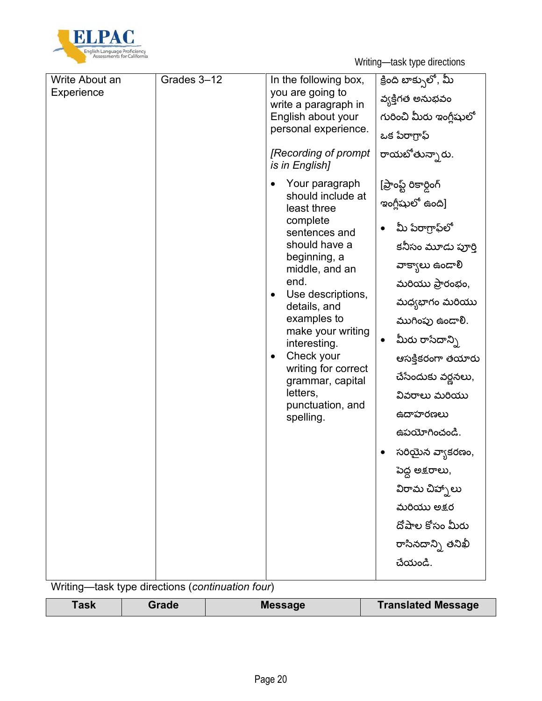

| Write About an | Grades 3-12                             | In the following box,                      | క్రింది బాక్సులో, మీ          |
|----------------|-----------------------------------------|--------------------------------------------|-------------------------------|
| Experience     |                                         | you are going to                           | వ్వక్తిగత అనుభవం              |
|                |                                         | write a paragraph in                       |                               |
|                |                                         | English about your<br>personal experience. | గురించి మీరు ఇంగ్లీషులో       |
|                |                                         |                                            | ఒక పేరాగ్రాఫ్                 |
|                |                                         | [Recording of prompt<br>is in English]     | రాయబోతున్నారు.                |
|                |                                         | Your paragraph                             | [ప్రాంప్ట్ రికార్డింగ్        |
|                |                                         | should include at<br>least three           | ఇంగ్లీషులో ఉంది]              |
|                |                                         | complete<br>sentences and                  | మీ పేరాగ్రాఫ్టలో<br>$\bullet$ |
|                |                                         | should have a<br>beginning, a              | కనీసం మూడు పూర్తి             |
|                |                                         | middle, and an                             | వాక్యాలు ఉండాలి               |
|                |                                         | end.                                       | మరియు ప్రారంభం,               |
|                |                                         | Use descriptions,<br>details, and          | మధ్యభాగం మరియు                |
|                |                                         | examples to                                | ముగింపు ఉండాలి.               |
|                |                                         | make your writing<br>interesting.          | మీరు రాసేదాన్ని<br>$\bullet$  |
|                |                                         | Check your                                 | ఆసక్తికరంగా తయారు             |
|                | writing for correct<br>grammar, capital | చేసేందుకు వర్ణనలు,                         |                               |
|                |                                         | letters,<br>punctuation, and<br>spelling.  | వివరాలు మరియు                 |
|                |                                         |                                            | ఉదాహరణలు                      |
|                |                                         | ఉపయోగించండి.                               |                               |
|                |                                         |                                            | సరియైన వ్యాకరణం,              |
|                |                                         |                                            | పెద్ద అక్షరాలు,               |
|                |                                         |                                            | విరామ చిహ్చాలు                |
|                |                                         |                                            | మరియు అక్షర                   |
|                |                                         |                                            | దోపాల కోసం మీరు               |
|                |                                         |                                            | రాసినదాన్ని తనిఖీ             |
|                |                                         |                                            | చేయండి.                       |
|                |                                         |                                            |                               |

Writing—task type directions (*continuation four*)

| Task | Grade | <b>Message</b> | <b>Translated Message</b> |
|------|-------|----------------|---------------------------|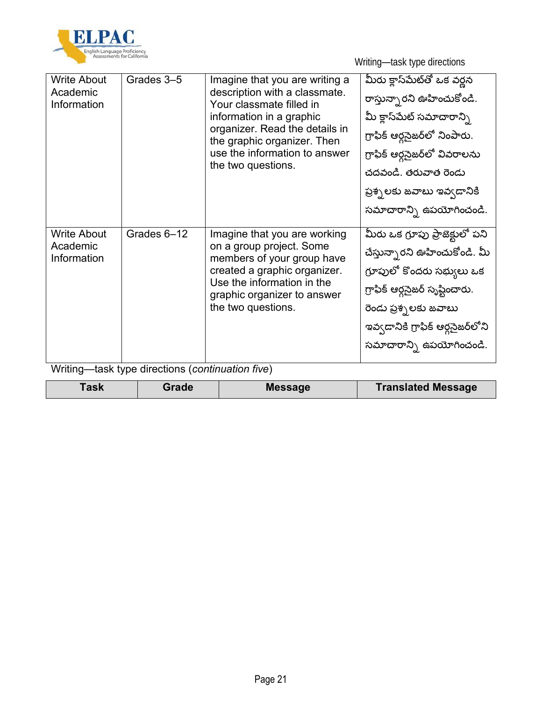

| Grades 3-5<br>మీరు క్లాస్మేట్తో ఒక వర్ణన<br><b>Write About</b><br>Imagine that you are writing a<br>description with a classmate.<br>Academic<br>రాస్తున్నారని ఊహించుకోండి.<br>Your classmate filled in<br>Information<br>మీ క్లాస్మేట్ సమాచారాన్ని<br>information in a graphic<br>organizer. Read the details in<br>గ్రాఫిక్ ఆర్ధసైజర్లో నింపారు.<br>the graphic organizer. Then<br>use the information to answer<br>గ్రాఫిక్ ఆర్గసైజర్లో వివరాలను<br>the two questions.<br>చదవండి. తరువాత రెండు<br>ప్రశ్నలకు జవాబు ఇవ్వడానికి<br>Grades 6-12<br><b>Write About</b><br>Imagine that you are working<br>on a group project. Some<br>Academic<br>Information<br>members of your group have<br>created a graphic organizer.<br>Use the information in the<br>గ్రాఫిక్ ఆర్గసైజర్ సృష్టించారు.<br>graphic organizer to answer<br>the two questions.<br>రెండు ప్రశ్నలకు జవాబు |  |                                                                                                                                                                 |
|--------------------------------------------------------------------------------------------------------------------------------------------------------------------------------------------------------------------------------------------------------------------------------------------------------------------------------------------------------------------------------------------------------------------------------------------------------------------------------------------------------------------------------------------------------------------------------------------------------------------------------------------------------------------------------------------------------------------------------------------------------------------------------------------------------------------------------------------------------------------------|--|-----------------------------------------------------------------------------------------------------------------------------------------------------------------|
|                                                                                                                                                                                                                                                                                                                                                                                                                                                                                                                                                                                                                                                                                                                                                                                                                                                                          |  | సమాచారాన్ని ఉపయోగించండి.                                                                                                                                        |
| 11.1.11<br>-11-<br>$-11 -$<br>المدام فالقام والمسالف<br>$-1 - 4$<br>$\sqrt{2}$<br>$\mathbf{r}$ $\mathbf{r}$                                                                                                                                                                                                                                                                                                                                                                                                                                                                                                                                                                                                                                                                                                                                                              |  | మీరు ఒక గ్రూపు ప్రాజెక్టులో పని<br>చేస్తున్నారని ఊహించుకోండి. మీ<br>గ్రూపులో కొందరు సభ్యులు ఒక<br>ఇవ్వడానికి గ్రాఫిక్ ఆర్ధసైజర్లోని<br>సమాచారాన్ని ఉపయోగించండి. |

Writing—task type directions (*continuation five*)

| <b>Translated Message</b><br><b>Message</b><br>Task<br>Grade |
|--------------------------------------------------------------|
|--------------------------------------------------------------|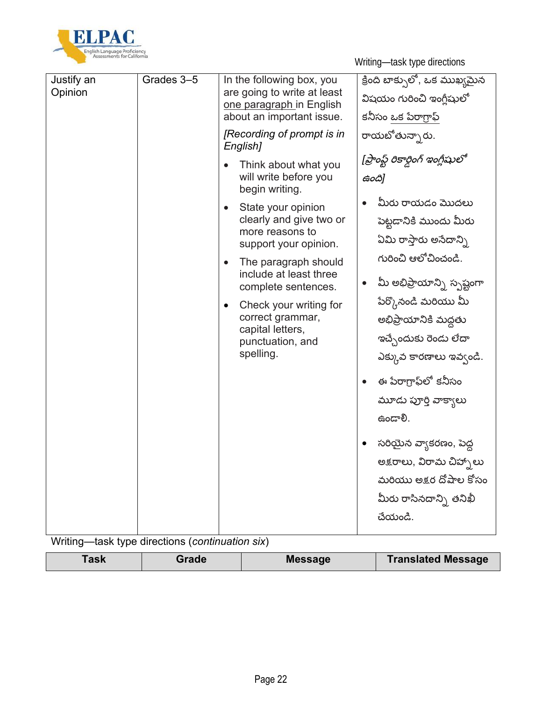

| Justify an<br>Opinion | Grades 3-5 | In the following box, you<br>are going to write at least<br>one paragraph in English<br>about an important issue.                                                                                                                                                                                                                                                                                                 | క్రింది బాక్సులో, ఒక ముఖ్యమైన<br>విషయం గురించి ఇంగ్లీషులో<br>కనీసం ఒక పేరాగ్రాఫ్                                                                                                                                                                                                                                                                                                                                   |
|-----------------------|------------|-------------------------------------------------------------------------------------------------------------------------------------------------------------------------------------------------------------------------------------------------------------------------------------------------------------------------------------------------------------------------------------------------------------------|--------------------------------------------------------------------------------------------------------------------------------------------------------------------------------------------------------------------------------------------------------------------------------------------------------------------------------------------------------------------------------------------------------------------|
|                       |            | [Recording of prompt is in<br>English]<br>Think about what you<br>will write before you<br>begin writing.<br>State your opinion<br>$\bullet$<br>clearly and give two or<br>more reasons to<br>support your opinion.<br>The paragraph should<br>$\bullet$<br>include at least three<br>complete sentences.<br>Check your writing for<br>٠<br>correct grammar,<br>capital letters,<br>punctuation, and<br>spelling. | రాయబోతున్నారు.<br>[ప్రాంఫ్ట్ రికార్డింగ్ ఇంగ్లీషులో<br>ఉంది]<br>మీరు రాయడం మొదలు<br>పెట్టడానికి ముందు మీరు<br>ఏమి రాస్తారు అసేదాన్ని<br>గురించి ఆలోచించండి.<br>మీ అభిప్రాయాన్ని స <sub>్ప</sub> ష్టంగా<br>$\bullet$<br>పేర్కొనండి మరియు మీ<br>అభిప్రాయానికి మద్దతు<br>ఇచ్చేందుకు రెండు లేదా<br>ఎక్కువ కారణాలు ఇవ్వండి.<br>ఈ పేరాగ్రాఫ్ౖలో కనీసం<br>మూడు పూర్తి వాక్యాలు<br>$6$ ಂದ್ $8$ .<br>సరియైన వ్యాకరణం, పెద్ద |
|                       |            |                                                                                                                                                                                                                                                                                                                                                                                                                   | అక్షరాలు, విరామ చిహ్నలు<br>మరియు అక్షర దోషాల కోసం<br>మీరు రాసినదాన్ని తనిఖీ<br>చేయండి.                                                                                                                                                                                                                                                                                                                             |

Writing—task type directions (*continuation six*)

|--|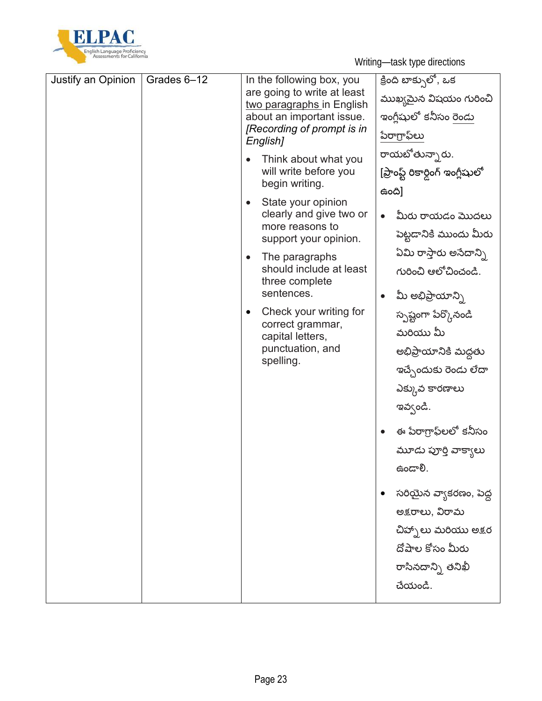

| Justify an Opinion | Grades 6-12 | In the following box, you<br>are going to write at least<br>two paragraphs in English<br>about an important issue.<br>[Recording of prompt is in<br>English]<br>Think about what you<br>will write before you<br>begin writing.<br>State your opinion<br>$\bullet$<br>clearly and give two or<br>more reasons to<br>support your opinion.<br>The paragraphs<br>should include at least<br>three complete<br>sentences.<br>Check your writing for<br>correct grammar,<br>capital letters,<br>punctuation, and<br>spelling. | క్రింది బాక్సులో, ఒక<br>ముఖ్యమైన విషయం గురించి<br>ఇంగ్లీషులో కనీసం రెండు<br>పేరాగ్రాఫ్ౖలు<br>రాయబోతున్నారు.<br>[ప్రాంఫ్ట్ రికార్డింగ్ ఇంగ్లీషులో<br>ఉంది]<br>మీరు రాయడం మొదలు<br>$\bullet$<br>పెట్టడానికి ముందు మీరు<br>ఏమి రాస్తారు అసేదాన్ని<br>గురించి ఆలోచించండి.<br>మీ అభిప్రాయాన్ని<br>$\bullet$<br>స్పష్టంగా పేర్కొనండి<br>మరియు మీ<br>అభిప్రాయానికి మద్దతు<br>ఇచ్చేందుకు రెండు లేదా<br>ఎక్కువ కారణాలు<br>ఇవ్వండి.<br>ఈ పేరాగ్రాఫ్ౖలలో కనీసం<br>మూడు పూర్తి వాక్యాలు<br>. ઉౡు<br>సరియైన వ్యాకరణం, పెద్ద<br>అక్షరాలు, విరామ<br>చిహ్నాలు మరియు అక్షర<br>దోపాల కోసం మీరు |
|--------------------|-------------|---------------------------------------------------------------------------------------------------------------------------------------------------------------------------------------------------------------------------------------------------------------------------------------------------------------------------------------------------------------------------------------------------------------------------------------------------------------------------------------------------------------------------|------------------------------------------------------------------------------------------------------------------------------------------------------------------------------------------------------------------------------------------------------------------------------------------------------------------------------------------------------------------------------------------------------------------------------------------------------------------------------------------------------------------------------------------------------------------------------|
|                    |             |                                                                                                                                                                                                                                                                                                                                                                                                                                                                                                                           | రాసినదాన్ని తనిఖీ                                                                                                                                                                                                                                                                                                                                                                                                                                                                                                                                                            |
|                    |             |                                                                                                                                                                                                                                                                                                                                                                                                                                                                                                                           | చేయండి.                                                                                                                                                                                                                                                                                                                                                                                                                                                                                                                                                                      |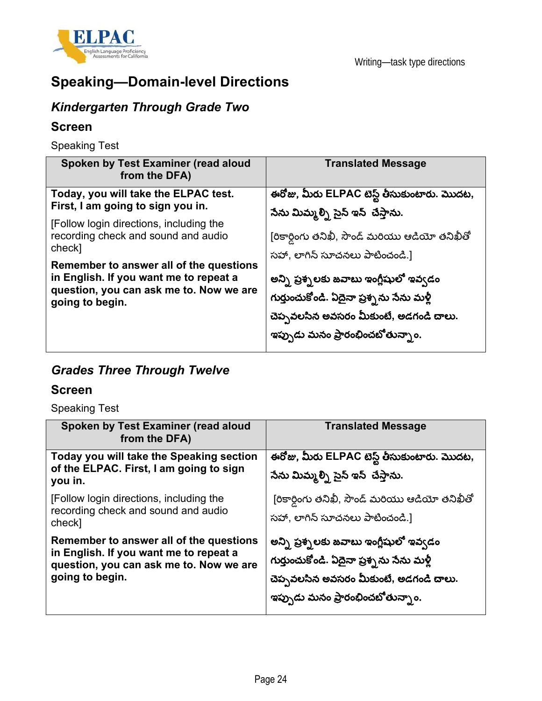

# **Speaking—Domain-level Directions**

### *Kindergarten Through Grade Two*

#### **Screen**

Speaking Test

| Spoken by Test Examiner (read aloud<br>from the DFA)                                                                                                                                                                                                                                                                     | <b>Translated Message</b>                                                                                                                                                                                                                                                                                                                 |
|--------------------------------------------------------------------------------------------------------------------------------------------------------------------------------------------------------------------------------------------------------------------------------------------------------------------------|-------------------------------------------------------------------------------------------------------------------------------------------------------------------------------------------------------------------------------------------------------------------------------------------------------------------------------------------|
| Today, you will take the ELPAC test.<br>First, I am going to sign you in.<br>[Follow login directions, including the<br>recording check and sound and audio<br>check]<br>Remember to answer all of the questions<br>in English. If you want me to repeat a<br>question, you can ask me to. Now we are<br>going to begin. | ఈరోజు, మీరు ELPAC టెస్ట్ తీసుకుంటారు. మొదట,<br>సేను మిమ్మల్ని సైన్ ఇన్ చేస్తాను.<br>[రికార్డింగు తనిఖీ, సౌండ్ మరియు ఆడియో తనిఖీతో<br>సహా, లాగిన్ సూచనలు పాటించండి.]<br>అన్ని ప్రశ్నలకు జవాబు ఇంగ్లీషులో ఇవ్వడం<br>గుర్తుంచుకోండి. ఏదైనా ప్రశ్నను సేను మళ్లీ<br>చెప్పవలసిన అవసరం మీకుంటే, అడగండి చాలు.<br>ఇప్పుడు మనం ప్రారంభించబోతున్నాం. |

### *Grades Three Through Twelve*

### **Screen**

Speaking Test

| Spoken by Test Examiner (read aloud<br>from the DFA)                                                                                            | <b>Translated Message</b>                                                                                                                                          |
|-------------------------------------------------------------------------------------------------------------------------------------------------|--------------------------------------------------------------------------------------------------------------------------------------------------------------------|
| Today you will take the Speaking section<br>of the ELPAC. First, I am going to sign<br>you in.                                                  | ఈరోజు, మీరు ELPAC టెస్ట్ తీసుకుంటారు. మొదట,<br>సేను మిమ్మల్ని సైన్ ఇన్ చేస్తాను.                                                                                   |
| [Follow login directions, including the<br>recording check and sound and audio<br>check]                                                        | [రికార్డింగు తనిఖీ, సౌండ్ మరియు ఆడియో తనిఖీతో<br>సహా, లాగిన్ సూచనలు పాటించండి.]                                                                                    |
| Remember to answer all of the questions<br>in English. If you want me to repeat a<br>question, you can ask me to. Now we are<br>going to begin. | అన్ని ప్రశ్నలకు జవాబు ఇంగ్లీషులో ఇవ్వడం<br>గుర్తుంచుకోండి. ఏదైనా ప్రశ్నను సేను మళ్లీ<br>చెప్పవలసిన అవసరం మీకుంటే, అడగండి చాలు.<br>ఇప్పుడు మనం ప్రారంభించబోతున్నాం. |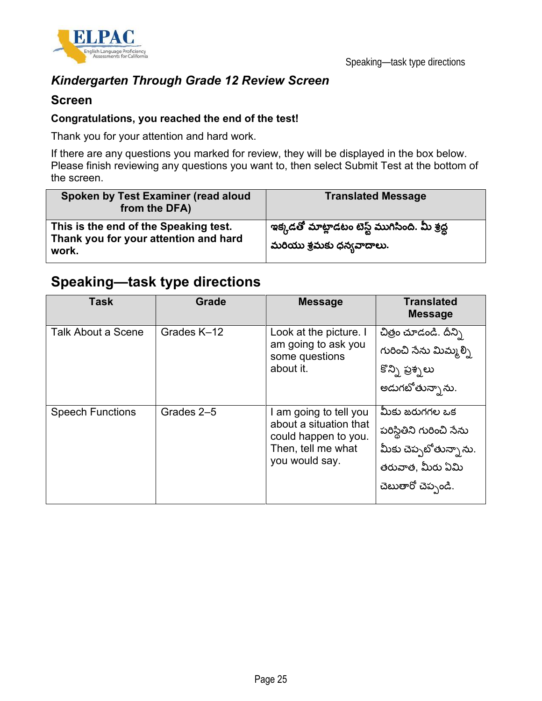

### *Kindergarten Through Grade 12 Review Screen*

#### **Screen**

#### **Congratulations, you reached the end of the test!**

Thank you for your attention and hard work.

If there are any questions you marked for review, they will be displayed in the box below. Please finish reviewing any questions you want to, then select Submit Test at the bottom of the screen.

| Spoken by Test Examiner (read aloud<br>from the DFA)                                    | <b>Translated Message</b>                                                   |
|-----------------------------------------------------------------------------------------|-----------------------------------------------------------------------------|
| This is the end of the Speaking test.<br>Thank you for your attention and hard<br>work. | ్గఇక్కడతో మాట్లాడటం టెస్ట్ ముగిసింది. మీ శ్రద్ధ<br>మరియు శ్రమకు ధన్యవాదాలు. |

## **Speaking—task type directions**

| <b>Task</b>               | <b>Grade</b> | <b>Message</b>                                                                                                   | <b>Translated</b><br><b>Message</b>                                                                           |
|---------------------------|--------------|------------------------------------------------------------------------------------------------------------------|---------------------------------------------------------------------------------------------------------------|
| <b>Talk About a Scene</b> | Grades K-12  | Look at the picture. I<br>am going to ask you<br>some questions<br>about it.                                     | చిత్రం చూడండి. దీన్ని<br>గురించి సేను మిమ్మల్సి<br>కొన్ని ప్రశ్నలు<br>అడుగబోతున్నాను.                         |
| <b>Speech Functions</b>   | Grades 2-5   | I am going to tell you<br>about a situation that<br>could happen to you.<br>Then, tell me what<br>you would say. | మీకు జరుగగల ఒక<br>పరిస్థితిని గురించి సేను<br>మీకు చెప్పటోతున్నాను.<br>తరువాత, మీరు ఏమి<br>చెబుతారో చెప్పండి. |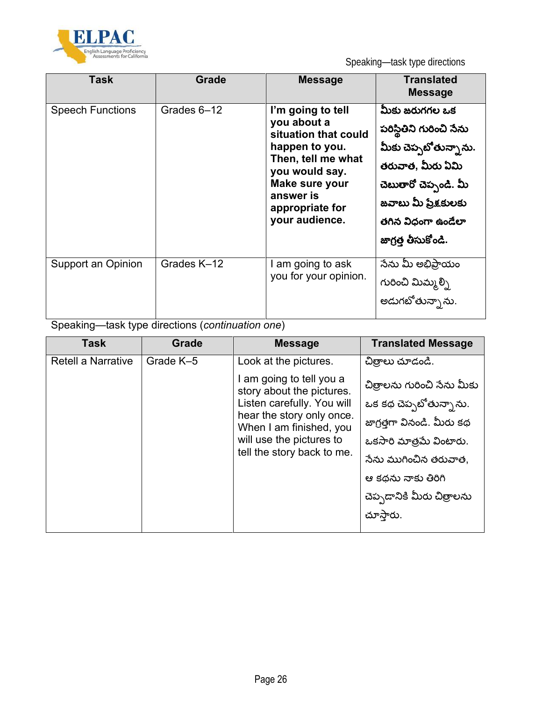

Speaking—task type directions

| Task                    | Grade       | <b>Message</b>                                                                                                                                                                         | <b>Translated</b><br><b>Message</b>                                                                                                                                                    |
|-------------------------|-------------|----------------------------------------------------------------------------------------------------------------------------------------------------------------------------------------|----------------------------------------------------------------------------------------------------------------------------------------------------------------------------------------|
| <b>Speech Functions</b> | Grades 6-12 | I'm going to tell<br>you about a<br>situation that could<br>happen to you.<br>Then, tell me what<br>you would say.<br>Make sure your<br>answer is<br>appropriate for<br>your audience. | మీకు జరుగగల ఒక<br>పరిస్థితిని గురించి సేను<br>మీకు చెప్పటోతున్నాను.<br>తరువాత, మీరు ఏమి<br>చెబుతారో చెప్పండి. మీ<br>జవాబు మీ ప్రేక్షకులకు<br>తగిన విధంగా ఉండేలా<br>జాగ్రత్త తీసుకోండి. |
| Support an Opinion      | Grades K-12 | I am going to ask<br>you for your opinion.                                                                                                                                             | సేను మీ అభిప్రాయం<br>గురించి మిమ్మల్ని<br>అడుగటోతున్నాను.                                                                                                                              |

Speaking—task type directions (*continuation one*)

| <b>Task</b>               | Grade     | <b>Message</b>                                        | <b>Translated Message</b>   |
|---------------------------|-----------|-------------------------------------------------------|-----------------------------|
| <b>Retell a Narrative</b> | Grade K-5 | Look at the pictures.                                 | చిత్రాలు చూడండి.            |
|                           |           | I am going to tell you a<br>story about the pictures. | చిత్రాలను గురించి సేను మీకు |
|                           |           | Listen carefully. You will                            | ఒక కథ చెప్పబోతున్నాను.      |
|                           |           | hear the story only once.<br>When I am finished, you  | జాగ్రత్తగా వినండి. మీరు కథ  |
|                           |           | will use the pictures to                              | ఒకసారి మాత్రమే వింటారు.     |
|                           |           | tell the story back to me.                            | నేను ముగించిన తరువాత,       |
|                           |           |                                                       | ఆ కథను నాకు తిరిగి          |
|                           |           |                                                       | చెప్పడానికి మీరు చిత్రాలను  |
|                           |           |                                                       | చూస్తారు.                   |
|                           |           |                                                       |                             |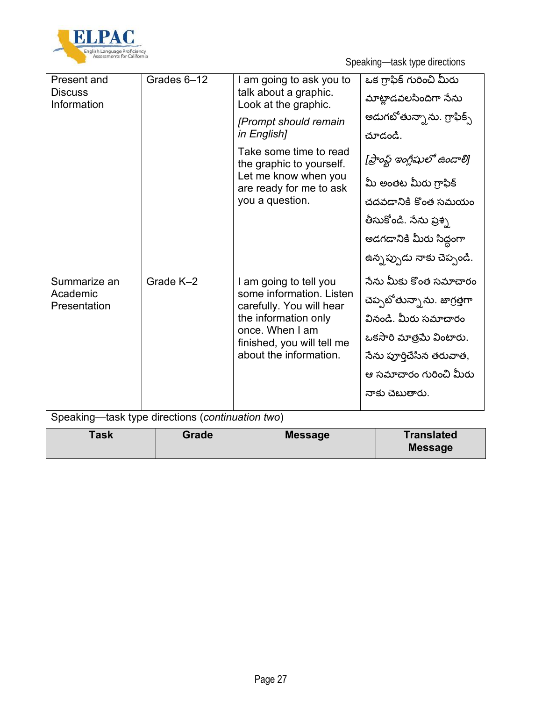

Speaking—task type directions

| Present and<br><b>Discuss</b><br>Information | Grades 6-12 | I am going to ask you to<br>talk about a graphic.<br>Look at the graphic. | ఒక గ్రాఫిక్ గురించి మీరు<br>మాట్లాడవలసిందిగా సేను |
|----------------------------------------------|-------------|---------------------------------------------------------------------------|---------------------------------------------------|
|                                              |             | [Prompt should remain                                                     | అడుగబోతున్నాను. గ్రాఫిక్స్                        |
|                                              |             | in English]                                                               | చూడండి.                                           |
|                                              |             | Take some time to read<br>the graphic to yourself.                        | [ప్రాంప్ట్ ఇంగ్లీషులో ఉండాలి]                     |
|                                              |             | Let me know when you<br>are ready for me to ask                           | మీ అంతట మీరు గ్రాఫిక్                             |
|                                              |             | you a question.                                                           | చదవడానికి కొంత సమయం                               |
|                                              |             |                                                                           | తీసుకోండి. సేను ప్రశ్న                            |
|                                              |             |                                                                           | అడగడానికి మీరు సిద్ధంగా                           |
|                                              |             |                                                                           | ఉన్నప్పుడు నాకు చెప్పండి.                         |
| Summarize an                                 | Grade K-2   | I am going to tell you                                                    | నేను మీకు కొంత సమాచారం                            |
| Academic<br>Presentation                     |             | some information. Listen<br>carefully. You will hear                      | చెప్పటోతున్నాను. జాగ్రత్తగా                       |
|                                              |             | the information only                                                      | వినండి. మీరు సమాచారం                              |
|                                              |             | once. When I am<br>finished, you will tell me                             | ఒకసారి మాత్రమే వింటారు.                           |
|                                              |             | about the information.                                                    | సేను పూర్తిచేసిన తరువాత,                          |
|                                              |             |                                                                           | ఆ సమాచారం గురించి మీరు                            |
|                                              |             |                                                                           | నాకు చెబుతారు.                                    |
|                                              |             |                                                                           |                                                   |

Speaking—task type directions (*continuation two*)

| Task | Grade | <b>Message</b> | <b>Translated</b><br><b>Message</b> |
|------|-------|----------------|-------------------------------------|
|      |       |                |                                     |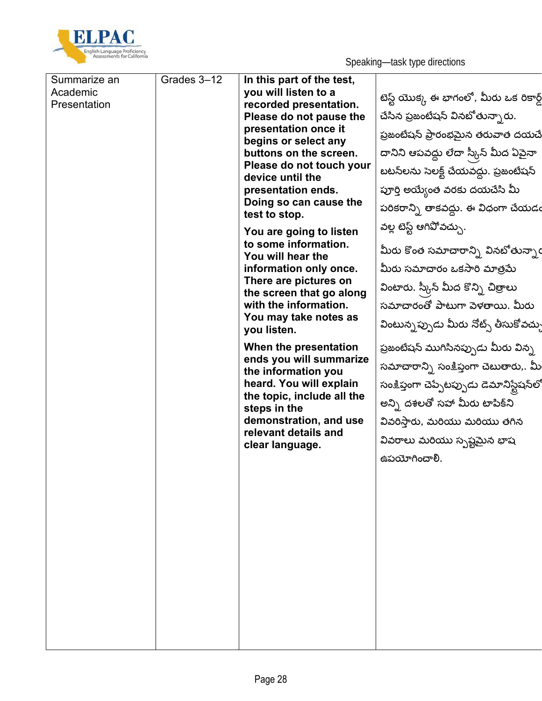

| Summarize an | Grades 3-12 | In this part of the test,                         |                                            |
|--------------|-------------|---------------------------------------------------|--------------------------------------------|
| Academic     |             | you will listen to a                              | టెస్ట్ యొక్క ఈ భాగంలో, మీరు ఒక రికార్డ్    |
| Presentation |             | recorded presentation.                            |                                            |
|              |             | Please do not pause the<br>presentation once it   | చేసిన ప్రజంటేషన్ వినటోతున్నారు.            |
|              |             | begins or select any                              | ప్రజంటేషన్ ప్రారంభమైన తరువాత దయచే          |
|              |             | buttons on the screen.                            | దానిని ఆపవద్దు లేదా స్కీన్ మీద ఏపైనా       |
|              |             | Please do not touch your<br>device until the      | బటన్లను సెలక్ట్ చేయవద్దు. ప్రజంటేషన్       |
|              |             | presentation ends.                                | పూర్తి అయ్యేంత వరకు దయచేసి మీ              |
|              |             | Doing so can cause the                            | పరికరాన్ని తాకవద్దు. ఈ విధంగా చేయడం        |
|              |             | test to stop.                                     | వల్ల టెస్ట్ ఆగివోవచ్చు.                    |
|              |             | You are going to listen                           |                                            |
|              |             | to some information.<br>You will hear the         | మీరు కొంత సమాచారాన్ని వినబోతున్నార         |
|              |             | information only once.                            | మీరు సమాచారం ఒకసారి మాత్రమే                |
|              |             | There are pictures on<br>the screen that go along | వింటారు. స్కీన్ మీద కొన్ని చిత్రాలు        |
|              |             | with the information.                             | సమాచారంతో పాటుగా పెళతాయి. మీరు             |
|              |             | You may take notes as                             | వింటున్నప్పుడు మీరు నోట్స్ తీసుకోవచ్చు     |
|              |             | you listen.                                       |                                            |
|              |             | When the presentation<br>ends you will summarize  | ప్రజంటేషన్ ముగిసినప్పుడు మీరు విన్న        |
|              |             | the information you                               | సమాచారాన్ని సంక్షిప్తంగా చెబుతారు,. మీ     |
|              |             | heard. You will explain                           | సంక్షిప్తంగా చెప్పేటప్పుడు డెమానిస్టేషన్లో |
|              |             | the topic, include all the<br>steps in the        | అన్ని దశలతో సహా మీరు టాపిక్ని              |
|              |             | demonstration, and use                            | వివరిస్తారు, మరియు మరియు తగిన              |
|              |             | relevant details and                              | వివరాలు మరియు స్పష్టమైన భాష                |
|              |             | clear language.                                   |                                            |
|              |             |                                                   | ఉపయోగించాలి.                               |
|              |             |                                                   |                                            |
|              |             |                                                   |                                            |
|              |             |                                                   |                                            |
|              |             |                                                   |                                            |
|              |             |                                                   |                                            |
|              |             |                                                   |                                            |
|              |             |                                                   |                                            |
|              |             |                                                   |                                            |
|              |             |                                                   |                                            |
|              |             |                                                   |                                            |
|              |             |                                                   |                                            |
|              |             |                                                   |                                            |